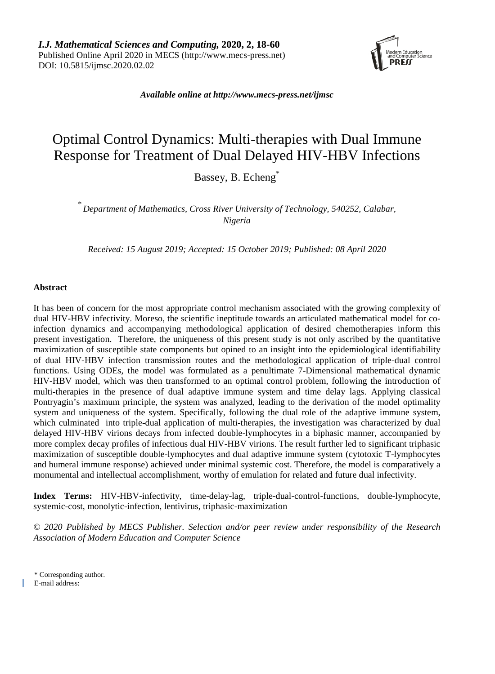

*Available online at [http://www.mecs-press.net/ijmsc](http://www.mecs-press.net/ijwmt)*

# Optimal Control Dynamics: Multi-therapies with Dual Immune Response for Treatment of Dual Delayed HIV-HBV Infections

Bassey, B. Echeng<sup>\*</sup>

\* *Department of Mathematics, Cross River University of Technology, 540252, Calabar, Nigeria*

*Received: 15 August 2019; Accepted: 15 October 2019; Published: 08 April 2020*

### **Abstract**

It has been of concern for the most appropriate control mechanism associated with the growing complexity of dual HIV-HBV infectivity. Moreso, the scientific ineptitude towards an articulated mathematical model for coinfection dynamics and accompanying methodological application of desired chemotherapies inform this present investigation. Therefore, the uniqueness of this present study is not only ascribed by the quantitative maximization of susceptible state components but opined to an insight into the epidemiological identifiability of dual HIV-HBV infection transmission routes and the methodological application of triple-dual control functions. Using ODEs, the model was formulated as a penultimate 7-Dimensional mathematical dynamic HIV-HBV model, which was then transformed to an optimal control problem, following the introduction of multi-therapies in the presence of dual adaptive immune system and time delay lags. Applying classical Pontryagin's maximum principle, the system was analyzed, leading to the derivation of the model optimality system and uniqueness of the system. Specifically, following the dual role of the adaptive immune system, which culminated into triple-dual application of multi-therapies, the investigation was characterized by dual delayed HIV-HBV virions decays from infected double-lymphocytes in a biphasic manner, accompanied by more complex decay profiles of infectious dual HIV-HBV virions. The result further led to significant triphasic maximization of susceptible double-lymphocytes and dual adaptive immune system (cytotoxic T-lymphocytes and humeral immune response) achieved under minimal systemic cost. Therefore, the model is comparatively a monumental and intellectual accomplishment, worthy of emulation for related and future dual infectivity.

**Index Terms:** HIV-HBV-infectivity, time-delay-lag, triple-dual-control-functions, double-lymphocyte, systemic-cost, monolytic-infection, lentivirus, triphasic-maximization

*© 2020 Published by MECS Publisher. Selection and/or peer review under responsibility of the Research Association of Modern Education and Computer Science*

\* Corresponding author.

E-mail address: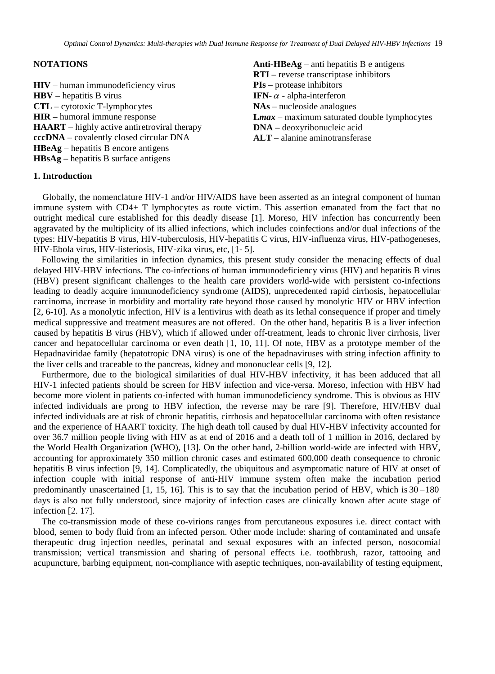#### **NOTATIONS**

**HIV** – human immunodeficiency virus **HBV** – hepatitis B virus **CTL** – cytotoxic T-lymphocytes **HIR** – humoral immune response **HAART** – highly active antiretroviral therapy **cccDNA** – covalently closed circular DNA **HBeAg** – hepatitis B encore antigens **HBsAg** – hepatitis B surface antigens

**Anti-HBeAg** – anti hepatitis B e antigens **RTI** – reverse transcriptase inhibitors **PIs** – protease inhibitors **IFN-**<sup>α</sup> - alpha-interferon **NAs** – nucleoside analogues **L***max –* maximum saturated double lymphocytes **DNA** – deoxyribonucleic acid **ALT** – alanine aminotransferase

#### **1. Introduction**

Globally, the nomenclature HIV-1 and/or HIV/AIDS have been asserted as an integral component of human immune system with CD4+ T lymphocytes as route victim. This assertion emanated from the fact that no outright medical cure established for this deadly disease [1]. Moreso, HIV infection has concurrently been aggravated by the multiplicity of its allied infections, which includes coinfections and/or dual infections of the types: HIV-hepatitis B virus, HIV-tuberculosis, HIV-hepatitis C virus, HIV-influenza virus, HIV-pathogeneses, HIV-Ebola virus, HIV-listeriosis, HIV-zika virus, etc, [1- 5].

Following the similarities in infection dynamics, this present study consider the menacing effects of dual delayed HIV-HBV infections. The co-infections of human immunodeficiency virus (HIV) and hepatitis B virus (HBV) present significant challenges to the health care providers world-wide with persistent co-infections leading to deadly acquire immunodeficiency syndrome (AIDS), unprecedented rapid cirrhosis, hepatocellular carcinoma, increase in morbidity and mortality rate beyond those caused by monolytic HIV or HBV infection [2, 6-10]. As a monolytic infection, HIV is a lentivirus with death as its lethal consequence if proper and timely medical suppressive and treatment measures are not offered. On the other hand, hepatitis B is a liver infection caused by hepatitis B virus (HBV), which if allowed under off-treatment, leads to chronic liver cirrhosis, liver cancer and hepatocellular carcinoma or even death [1, 10, 11]. Of note, HBV as a prototype member of the Hepadnaviridae family (hepatotropic DNA virus) is one of the hepadnaviruses with string infection affinity to the liver cells and traceable to the pancreas, kidney and mononuclear cells [9, 12].

Furthermore, due to the biological similarities of dual HIV-HBV infectivity, it has been adduced that all HIV-1 infected patients should be screen for HBV infection and vice-versa. Moreso, infection with HBV had become more violent in patients co-infected with human immunodeficiency syndrome. This is obvious as HIV infected individuals are prong to HBV infection, the reverse may be rare [9]. Therefore, HIV/HBV dual infected individuals are at risk of chronic hepatitis, cirrhosis and hepatocellular carcinoma with often resistance and the experience of HAART toxicity. The high death toll caused by dual HIV-HBV infectivity accounted for over 36.7 million people living with HIV as at end of 2016 and a death toll of 1 million in 2016, declared by the World Health Organization (WHO), [13]. On the other hand, 2-billion world-wide are infected with HBV, accounting for approximately 350 million chronic cases and estimated 600,000 death consequence to chronic hepatitis B virus infection [9, 14]. Complicatedly, the ubiquitous and asymptomatic nature of HIV at onset of infection couple with initial response of anti-HIV immune system often make the incubation period predominantly unascertained [1, 15, 16]. This is to say that the incubation period of HBV, which is  $30-180$ days is also not fully understood, since majority of infection cases are clinically known after acute stage of infection [2. 17].

The co-transmission mode of these co-virions ranges from percutaneous exposures i.e. direct contact with blood, semen to body fluid from an infected person. Other mode include: sharing of contaminated and unsafe therapeutic drug injection needles, perinatal and sexual exposures with an infected person, nosocomial transmission; vertical transmission and sharing of personal effects i.e. toothbrush, razor, tattooing and acupuncture, barbing equipment, non-compliance with aseptic techniques, non-availability of testing equipment,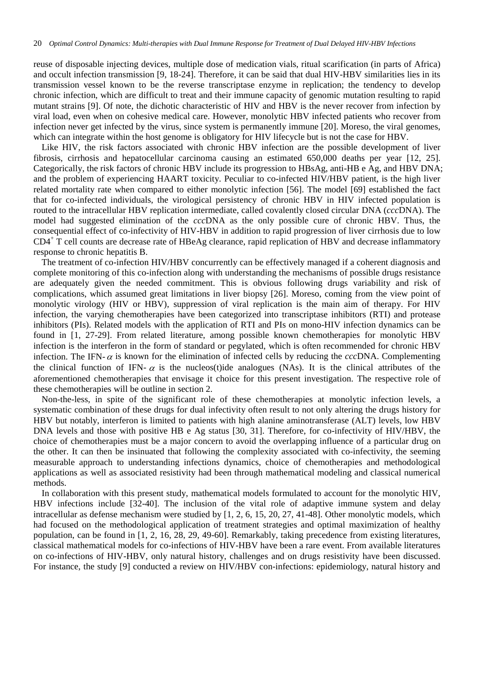reuse of disposable injecting devices, multiple dose of medication vials, ritual scarification (in parts of Africa) and occult infection transmission [9, 18-24]. Therefore, it can be said that dual HIV-HBV similarities lies in its transmission vessel known to be the reverse transcriptase enzyme in replication; the tendency to develop chronic infection, which are difficult to treat and their immune capacity of genomic mutation resulting to rapid mutant strains [9]. Of note, the dichotic characteristic of HIV and HBV is the never recover from infection by viral load, even when on cohesive medical care. However, monolytic HBV infected patients who recover from infection never get infected by the virus, since system is permanently immune [20]. Moreso, the viral genomes, which can integrate within the host genome is obligatory for HIV lifecycle but is not the case for HBV.

Like HIV, the risk factors associated with chronic HBV infection are the possible development of liver fibrosis, cirrhosis and hepatocellular carcinoma causing an estimated 650,000 deaths per year [12, 25]. Categorically, the risk factors of chronic HBV include its progression to HBsAg, anti-HB e Ag, and HBV DNA; and the problem of experiencing HAART toxicity. Peculiar to co-infected HIV/HBV patient, is the high liver related mortality rate when compared to either monolytic infection [56]. The model [69] established the fact that for co-infected individuals, the virological persistency of chronic HBV in HIV infected population is routed to the intracellular HBV replication intermediate, called covalently closed circular DNA (*ccc*DNA). The model had suggested elimination of the *ccc*DNA as the only possible cure of chronic HBV. Thus, the consequential effect of co-infectivity of HIV-HBV in addition to rapid progression of liver cirrhosis due to low CD4<sup>+</sup> T cell counts are decrease rate of HBeAg clearance, rapid replication of HBV and decrease inflammatory response to chronic hepatitis B.

The treatment of co-infection HIV/HBV concurrently can be effectively managed if a coherent diagnosis and complete monitoring of this co-infection along with understanding the mechanisms of possible drugs resistance are adequately given the needed commitment. This is obvious following drugs variability and risk of complications, which assumed great limitations in liver biopsy [26]. Moreso, coming from the view point of monolytic virology (HIV or HBV), suppression of viral replication is the main aim of therapy. For HIV infection, the varying chemotherapies have been categorized into transcriptase inhibitors (RTI) and protease inhibitors (PIs). Related models with the application of RTI and PIs on mono-HIV infection dynamics can be found in [1, 27-29]. From related literature, among possible known chemotherapies for monolytic HBV infection is the interferon in the form of standard or pegylated, which is often recommended for chronic HBV infection. The IFN- $\alpha$  is known for the elimination of infected cells by reducing the *cccDNA*. Complementing the clinical function of IFN-  $\alpha$  is the nucleos(t)ide analogues (NAs). It is the clinical attributes of the aforementioned chemotherapies that envisage it choice for this present investigation. The respective role of these chemotherapies will be outline in section 2.

Non-the-less, in spite of the significant role of these chemotherapies at monolytic infection levels, a systematic combination of these drugs for dual infectivity often result to not only altering the drugs history for HBV but notably, interferon is limited to patients with high alanine aminotransferase (ALT) levels, low HBV DNA levels and those with positive HB e Ag status [30, 31]. Therefore, for co-infectivity of HIV/HBV, the choice of chemotherapies must be a major concern to avoid the overlapping influence of a particular drug on the other. It can then be insinuated that following the complexity associated with co-infectivity, the seeming measurable approach to understanding infections dynamics, choice of chemotherapies and methodological applications as well as associated resistivity had been through mathematical modeling and classical numerical methods.

In collaboration with this present study, mathematical models formulated to account for the monolytic HIV, HBV infections include [32-40]. The inclusion of the vital role of adaptive immune system and delay intracellular as defense mechanism were studied by [1, 2, 6, 15, 20, 27, 41-48]. Other monolytic models, which had focused on the methodological application of treatment strategies and optimal maximization of healthy population, can be found in [1, 2, 16, 28, 29, 49-60]. Remarkably, taking precedence from existing literatures, classical mathematical models for co-infections of HIV-HBV have been a rare event. From available literatures on co-infections of HIV-HBV, only natural history, challenges and on drugs resistivity have been discussed. For instance, the study [9] conducted a review on HIV/HBV con-infections: epidemiology, natural history and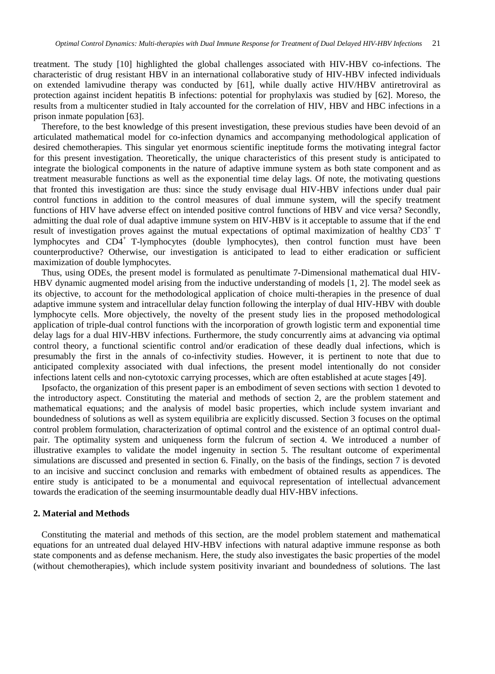treatment. The study [10] highlighted the global challenges associated with HIV-HBV co-infections. The characteristic of drug resistant HBV in an international collaborative study of HIV-HBV infected individuals on extended lamivudine therapy was conducted by [61], while dually active HIV/HBV antiretroviral as protection against incident hepatitis B infections: potential for prophylaxis was studied by [62]. Moreso, the results from a multicenter studied in Italy accounted for the correlation of HIV, HBV and HBC infections in a prison inmate population [63].

Therefore, to the best knowledge of this present investigation, these previous studies have been devoid of an articulated mathematical model for co-infection dynamics and accompanying methodological application of desired chemotherapies. This singular yet enormous scientific ineptitude forms the motivating integral factor for this present investigation. Theoretically, the unique characteristics of this present study is anticipated to integrate the biological components in the nature of adaptive immune system as both state component and as treatment measurable functions as well as the exponential time delay lags. Of note, the motivating questions that fronted this investigation are thus: since the study envisage dual HIV-HBV infections under dual pair control functions in addition to the control measures of dual immune system, will the specify treatment functions of HIV have adverse effect on intended positive control functions of HBV and vice versa? Secondly, admitting the dual role of dual adaptive immune system on HIV-HBV is it acceptable to assume that if the end result of investigation proves against the mutual expectations of optimal maximization of healthy CD3<sup>+</sup> T lymphocytes and CD4<sup>+</sup> T-lymphocytes (double lymphocytes), then control function must have been counterproductive? Otherwise, our investigation is anticipated to lead to either eradication or sufficient maximization of double lymphocytes.

Thus, using ODEs, the present model is formulated as penultimate 7-Dimensional mathematical dual HIV-HBV dynamic augmented model arising from the inductive understanding of models [1, 2]. The model seek as its objective, to account for the methodological application of choice multi-therapies in the presence of dual adaptive immune system and intracellular delay function following the interplay of dual HIV-HBV with double lymphocyte cells. More objectively, the novelty of the present study lies in the proposed methodological application of triple-dual control functions with the incorporation of growth logistic term and exponential time delay lags for a dual HIV-HBV infections. Furthermore, the study concurrently aims at advancing via optimal control theory, a functional scientific control and/or eradication of these deadly dual infections, which is presumably the first in the annals of co-infectivity studies. However, it is pertinent to note that due to anticipated complexity associated with dual infections, the present model intentionally do not consider infections latent cells and non-cytotoxic carrying processes, which are often established at acute stages [49].

Ipsofacto, the organization of this present paper is an embodiment of seven sections with section 1 devoted to the introductory aspect. Constituting the material and methods of section 2, are the problem statement and mathematical equations; and the analysis of model basic properties, which include system invariant and boundedness of solutions as well as system equilibria are explicitly discussed. Section 3 focuses on the optimal control problem formulation, characterization of optimal control and the existence of an optimal control dualpair. The optimality system and uniqueness form the fulcrum of section 4. We introduced a number of illustrative examples to validate the model ingenuity in section 5. The resultant outcome of experimental simulations are discussed and presented in section 6. Finally, on the basis of the findings, section 7 is devoted to an incisive and succinct conclusion and remarks with embedment of obtained results as appendices. The entire study is anticipated to be a monumental and equivocal representation of intellectual advancement towards the eradication of the seeming insurmountable deadly dual HIV-HBV infections.

#### **2. Material and Methods**

Constituting the material and methods of this section, are the model problem statement and mathematical equations for an untreated dual delayed HIV-HBV infections with natural adaptive immune response as both state components and as defense mechanism. Here, the study also investigates the basic properties of the model (without chemotherapies), which include system positivity invariant and boundedness of solutions. The last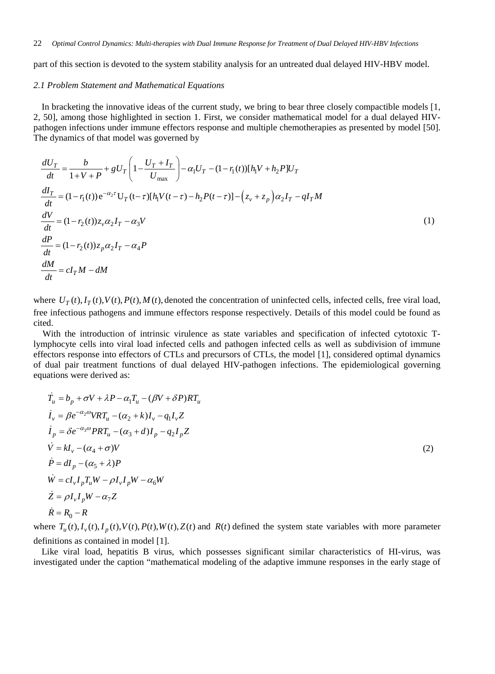part of this section is devoted to the system stability analysis for an untreated dual delayed HIV-HBV model.

#### *2.1 Problem Statement and Mathematical Equations*

In bracketing the innovative ideas of the current study, we bring to bear three closely compactible models [1, 2, 50], among those highlighted in section 1. First, we consider mathematical model for a dual delayed HIVpathogen infections under immune effectors response and multiple chemotherapies as presented by model [50]. The dynamics of that model was governed by

$$
\frac{dU_T}{dt} = \frac{b}{1 + V + P} + gU_T \left( 1 - \frac{U_T + I_T}{U_{\text{max}}} \right) - \alpha_1 U_T - (1 - r_1(t)) [h_1 V + h_2 P] U_T
$$
\n
$$
\frac{dI_T}{dt} = (1 - r_1(t)) e^{-\alpha_2 \tau} U_T (t - \tau) [h_1 V(t - \tau) - h_2 P(t - \tau)] - (z_v + z_p) \alpha_2 I_T - qI_T M
$$
\n
$$
\frac{dV}{dt} = (1 - r_2(t)) z_v \alpha_2 I_T - \alpha_3 V
$$
\n
$$
\frac{dP}{dt} = (1 - r_2(t)) z_p \alpha_2 I_T - \alpha_4 P
$$
\n
$$
\frac{dM}{dt} = cI_T M - dM
$$
\n(1)

where  $U_T(t)$ ,  $I_T(t)$ ,  $V(t)$ ,  $P(t)$ ,  $M(t)$ , denoted the concentration of uninfected cells, infected cells, free viral load, free infectious pathogens and immune effectors response respectively. Details of this model could be found as cited.

With the introduction of intrinsic virulence as state variables and specification of infected cytotoxic Tlymphocyte cells into viral load infected cells and pathogen infected cells as well as subdivision of immune effectors response into effectors of CTLs and precursors of CTLs, the model [1], considered optimal dynamics of dual pair treatment functions of dual delayed HIV-pathogen infections. The epidemiological governing equations were derived as:

$$
\dot{T}_u = b_p + \sigma V + \lambda P - \alpha_1 T_u - (\beta V + \delta P)RT_u
$$
\n
$$
\dot{I}_v = \beta e^{-\alpha_2 \omega} VRT_u - (\alpha_2 + k)I_v - q_1 I_v Z
$$
\n
$$
\dot{I}_p = \delta e^{-\alpha_3 \omega} PRT_u - (\alpha_3 + d)I_p - q_2 I_p Z
$$
\n
$$
\dot{V} = kI_v - (\alpha_4 + \sigma)V
$$
\n
$$
\dot{P} = dI_p - (\alpha_5 + \lambda)P
$$
\n
$$
\dot{W} = cI_v I_p T_u W - \rho I_v I_p W - \alpha_6 W
$$
\n
$$
\dot{Z} = \rho I_v I_p W - \alpha_7 Z
$$
\n
$$
\dot{R} = R_0 - R
$$

where  $T_u(t)$ ,  $I_v(t)$ ,  $I_p(t)$ ,  $V(t)$ ,  $P(t)$ ,  $W(t)$ ,  $Z(t)$  and  $R(t)$  defined the system state variables with more parameter definitions as contained in model [1].

Like viral load, hepatitis B virus, which possesses significant similar characteristics of HI-virus, was investigated under the caption "mathematical modeling of the adaptive immune responses in the early stage of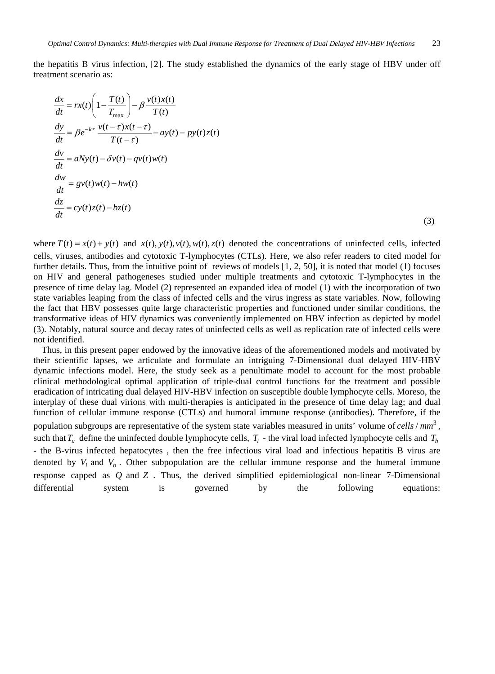the hepatitis B virus infection, [2]. The study established the dynamics of the early stage of HBV under off treatment scenario as:

$$
\frac{dx}{dt} = rx(t)\left(1 - \frac{T(t)}{T_{\text{max}}}\right) - \beta \frac{v(t)x(t)}{T(t)}
$$
\n
$$
\frac{dy}{dt} = \beta e^{-k\tau} \frac{v(t-\tau)x(t-\tau)}{T(t-\tau)} - ay(t) - py(t)z(t)
$$
\n
$$
\frac{dv}{dt} = aNy(t) - \delta v(t) - qv(t)w(t)
$$
\n
$$
\frac{dw}{dt} = gv(t)w(t) - hw(t)
$$
\n
$$
\frac{dz}{dt} = cy(t)z(t) - bz(t)
$$

(3)

where  $T(t) = x(t) + y(t)$  and  $x(t)$ ,  $y(t)$ ,  $y(t)$ ,  $y(t)$ ,  $z(t)$  denoted the concentrations of uninfected cells, infected cells, viruses, antibodies and cytotoxic T-lymphocytes (CTLs). Here, we also refer readers to cited model for further details. Thus, from the intuitive point of reviews of models [1, 2, 50], it is noted that model (1) focuses on HIV and general pathogeneses studied under multiple treatments and cytotoxic T-lymphocytes in the presence of time delay lag. Model (2) represented an expanded idea of model (1) with the incorporation of two state variables leaping from the class of infected cells and the virus ingress as state variables. Now, following the fact that HBV possesses quite large characteristic properties and functioned under similar conditions, the transformative ideas of HIV dynamics was conveniently implemented on HBV infection as depicted by model (3). Notably, natural source and decay rates of uninfected cells as well as replication rate of infected cells were not identified.

Thus, in this present paper endowed by the innovative ideas of the aforementioned models and motivated by their scientific lapses, we articulate and formulate an intriguing 7-Dimensional dual delayed HIV-HBV dynamic infections model. Here, the study seek as a penultimate model to account for the most probable clinical methodological optimal application of triple-dual control functions for the treatment and possible eradication of intricating dual delayed HIV-HBV infection on susceptible double lymphocyte cells. Moreso, the interplay of these dual virions with multi-therapies is anticipated in the presence of time delay lag; and dual function of cellular immune response (CTLs) and humoral immune response (antibodies). Therefore, if the population subgroups are representative of the system state variables measured in units' volume of *cells / mm*<sup>3</sup>, such that  $T_u$  define the uninfected double lymphocyte cells,  $T_i$  - the viral load infected lymphocyte cells and  $T_b$ - the B-virus infected hepatocytes , then the free infectious viral load and infectious hepatitis B virus are denoted by  $V_i$  and  $V_b$ . Other subpopulation are the cellular immune response and the humeral immune response capped as *Q* and *Z* . Thus, the derived simplified epidemiological non-linear 7-Dimensional differential system is governed by the following equations: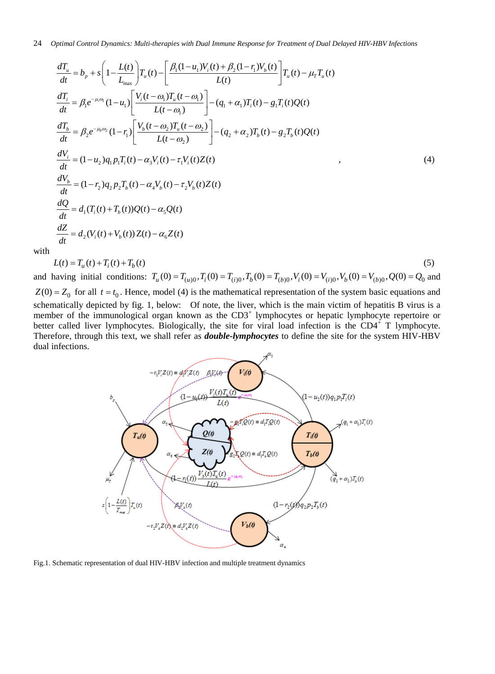$$
\frac{dT_u}{dt} = b_p + s \left( 1 - \frac{L(t)}{L_{\text{max}}} \right) T_u(t) - \left[ \frac{\beta_1 (1 - u_1) V_i(t) + \beta_2 (1 - r_1) V_b(t)}{L(t)} \right] T_u(t) - \mu_T T_u(t)
$$
\n
$$
\frac{dT_i}{dt} = \beta_1 e^{-\mu_i \omega_i} (1 - u_1) \left[ \frac{V_i(t - \omega_1) T_u(t - \omega_1)}{L(t - \omega_1)} \right] - (q_1 + \alpha_1) T_i(t) - g_1 T_i(t) Q(t)
$$
\n
$$
\frac{dT_b}{dt} = \beta_2 e^{-\mu_b \omega_2} (1 - r_1) \left[ \frac{V_b(t - \omega_2) T_u(t - \omega_2)}{L(t - \omega_2)} \right] - (q_2 + \alpha_2) T_b(t) - g_2 T_b(t) Q(t)
$$
\n
$$
\frac{dV_i}{dt} = (1 - u_2) q_1 p_1 T_i(t) - \alpha_3 V_i(t) - \tau_1 V_i(t) Z(t)
$$
\n
$$
\frac{dV_b}{dt} = (1 - r_2) q_2 p_2 T_b(t) - \alpha_4 V_b(t) - \tau_2 V_b(t) Z(t)
$$
\n
$$
\frac{dQ}{dt} = d_1 (T_i(t) + T_b(t)) Q(t) - \alpha_s Q(t)
$$
\n
$$
\frac{dZ}{dt} = d_2 (V_i(t) + V_b(t)) Z(t) - \alpha_6 Z(t)
$$

with

$$
L(t) = T_u(t) + T_i(t) + T_b(t)
$$
\n(5)

and having initial conditions:  $T_u(0) = T_{(u)0}$ ,  $T_i(0) = T_{(i)0}$ ,  $T_b(0) = T_{(b)0}$ ,  $V_i(0) = V_{(i)0}$ ,  $V_b(0) = V_{(b)0}$ ,  $Q(0) = Q_0$  and  $Z(0) = Z_0$  for all  $t = t_0$ . Hence, model (4) is the mathematical representation of the system basic equations and schematically depicted by fig. 1, below:Of note, the liver, which is the main victim of hepatitis B virus is a member of the immunological organ known as the CD3<sup>+</sup> lymphocytes or hepatic lymphocyte repertoire or better called liver lymphocytes. Biologically, the site for viral load infection is the  $CD4^+$  T lymphocyte. Therefore, through this text, we shall refer as *double-lymphocytes* to define the site for the system HIV-HBV

dual infections.



Fig.1. Schematic representation of dual HIV-HBV infection and multiple treatment dynamics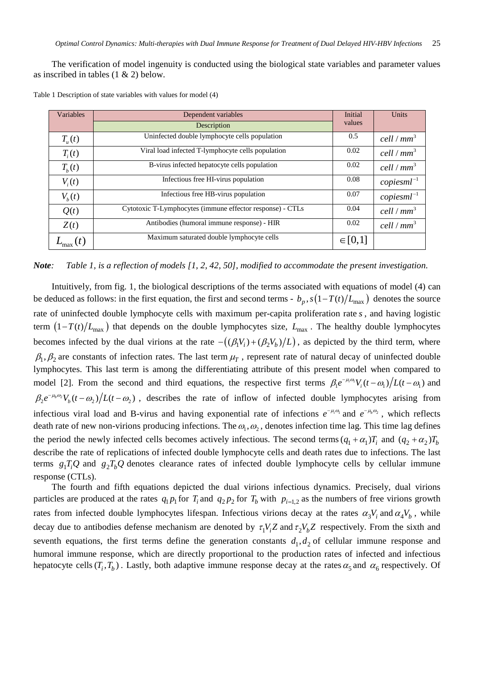The verification of model ingenuity is conducted using the biological state variables and parameter values as inscribed in tables (1 & 2) below.

| Variables  | Dependent variables                                       | Initial     | Units                  |
|------------|-----------------------------------------------------------|-------------|------------------------|
|            | Description                                               | values      |                        |
| $T_{u}(t)$ | Uninfected double lymphocyte cells population             | 0.5         | cell / $mm3$           |
| $T_i(t)$   | Viral load infected T-lymphocyte cells population         | 0.02        | cell / $mm3$           |
| $T_h(t)$   | B-virus infected hepatocyte cells population              | 0.02        | cell / mm <sup>3</sup> |
| $V_i(t)$   | Infectious free HI-virus population                       | 0.08        | $copiesml^{-1}$        |
| $V_{b}(t)$ | Infectious free HB-virus population                       | 0.07        | $copiesml^{-1}$        |
| Q(t)       | Cytotoxic T-Lymphocytes (immune effector response) - CTLs | 0.04        | cell / mm <sup>3</sup> |
| Z(t)       | Antibodies (humoral immune response) - HIR                | 0.02        | cell / mm <sup>3</sup> |
|            | Maximum saturated double lymphocyte cells                 | $\in [0,1]$ |                        |

Table 1 Description of state variables with values for model (4)

#### *Note: Table 1, is a reflection of models [1, 2, 42, 50], modified to accommodate the present investigation.*

Intuitively, from fig. 1, the biological descriptions of the terms associated with equations of model (4) can be deduced as follows: in the first equation, the first and second terms -  $b_p$ ,  $s(1-T(t)/L_{\text{max}})$  denotes the source rate of uninfected double lymphocyte cells with maximum per-capita proliferation rate *s* , and having logistic term  $(1 - T(t)/L_{\text{max}})$  that depends on the double lymphocytes size,  $L_{\text{max}}$ . The healthy double lymphocytes becomes infected by the dual virions at the rate  $-(\frac{\beta_1 V_i}{\beta_2 V_b})/L$ , as depicted by the third term, where  $\beta_1$ ,  $\beta_2$  are constants of infection rates. The last term  $\mu_T$ , represent rate of natural decay of uninfected double lymphocytes. This last term is among the differentiating attribute of this present model when compared to model [2]. From the second and third equations, the respective first terms  $\beta_1 e^{-\mu_i \omega_i} V_i(t-\omega_1)/L(t-\omega_1)$  and  $\beta_2 e^{-\mu_b \omega_2} V_b(t-\omega_2)/L(t-\omega_2)$ , describes the rate of inflow of infected double lymphocytes arising from infectious viral load and B-virus and having exponential rate of infections  $e^{-\mu_i \omega_i}$  and  $e^{-\mu_b \omega_2}$ , which reflects death rate of new non-virions producing infections. The  $\omega_1, \omega_2$ , denotes infection time lag. This time lag defines the period the newly infected cells becomes actively infectious. The second terms  $(q_1 + \alpha_1)T_i$  and  $(q_2 + \alpha_2)T_b$ describe the rate of replications of infected double lymphocyte cells and death rates due to infections. The last terms  $g_1 T_i Q$  and  $g_2 T_b Q$  denotes clearance rates of infected double lymphocyte cells by cellular immune response (CTLs).

The fourth and fifth equations depicted the dual virions infectious dynamics. Precisely, dual virions particles are produced at the rates  $q_1 p_1$  for  $T_i$  and  $q_2 p_2$  for  $T_b$  with  $p_{i=1,2}$  as the numbers of free virions growth rates from infected double lymphocytes lifespan. Infectious virions decay at the rates  $\alpha_3 V_i$  and  $\alpha_4 V_b$ , while decay due to antibodies defense mechanism are denoted by  $\tau_1 V_i Z$  and  $\tau_2 V_b Z$  respectively. From the sixth and seventh equations, the first terms define the generation constants  $d_1, d_2$  of cellular immune response and humoral immune response, which are directly proportional to the production rates of infected and infectious hepatocyte cells  $(T_i, T_b)$ . Lastly, both adaptive immune response decay at the rates  $\alpha_5$  and  $\alpha_6$  respectively. Of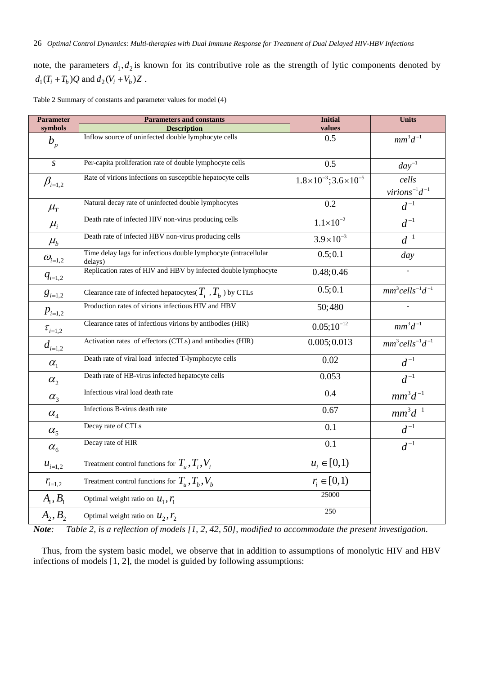note, the parameters  $d_1, d_2$  is known for its contributive role as the strength of lytic components denoted by  $d_1 (T_i + T_b) Q$  and  $d_2 (V_i + V_b) Z$ .

Table 2 Summary of constants and parameter values for model (4)

| <b>Parameter</b>                   | <b>Parameters and constants</b>                                            | <b>Initial</b>                          | <b>Units</b>                                 |
|------------------------------------|----------------------------------------------------------------------------|-----------------------------------------|----------------------------------------------|
| symbols                            | <b>Description</b>                                                         | values                                  |                                              |
| $b_{p}$                            | Inflow source of uninfected double lymphocyte cells                        | 0.5                                     | $mm^3d^{-1}$                                 |
| $\overline{S}$                     | Per-capita proliferation rate of double lymphocyte cells                   | 0.5                                     | $day^{-1}$                                   |
| $\beta_{i=1,2}$                    | Rate of virions infections on susceptible hepatocyte cells                 | $1.8\times10^{-3}$ ; $3.6\times10^{-5}$ | cells<br>$virions^{-1}d^{-1}$                |
| $\mu_{\scriptscriptstyle T}$       | Natural decay rate of uninfected double lymphocytes                        | 0.2                                     | $\boldsymbol{d}^{-1}$                        |
| $\mu_i$                            | Death rate of infected HIV non-virus producing cells                       | $1.1 \times 10^{-2}$                    | $d^{-1}$                                     |
| $\mu_{\scriptscriptstyle b}$       | Death rate of infected HBV non-virus producing cells                       | $3.9 \times 10^{-3}$                    | $\boldsymbol{d}^{-1}$                        |
| $\mathcal{W}_{i=1,2}$              | Time delay lags for infectious double lymphocyte (intracellular<br>delays) | 0.5; 0.1                                | day                                          |
| $q_{i=1,2}$                        | Replication rates of HIV and HBV by infected double lymphocyte             | 0.48; 0.46                              |                                              |
| $\boldsymbol{g}_{i=1,2}$           | Clearance rate of infected hepatocytes( $T_i$ , $T_b$ ) by CTLs            | 0.5; 0.1                                | $mm^3$ cells <sup>-1</sup> $d$ <sup>-1</sup> |
| $p_{i=1,2}$                        | Production rates of virions infectious HIV and HBV                         | 50;480                                  |                                              |
| $\tau_{i=1,2}$                     | Clearance rates of infectious virions by antibodies (HIR)                  | $0.05;10^{-12}$                         | $mm^3d^{-1}$                                 |
| $d_{i=1,2}$                        | Activation rates of effectors (CTLs) and antibodies (HIR)                  | 0.005; 0.013                            | $mm^3$ cells <sup>-1</sup> $d$ <sup>-1</sup> |
| $\alpha_{1}$                       | Death rate of viral load infected T-lymphocyte cells                       | 0.02                                    | $d^{-1}$                                     |
| $\alpha_{2}$                       | Death rate of HB-virus infected hepatocyte cells                           | 0.053                                   | $d^{-1}$                                     |
| $\alpha_{3}$                       | Infectious viral load death rate                                           | 0.4                                     | $\mathit{mm}^3d^{-1}$                        |
| $\alpha_{\scriptscriptstyle 4}^{}$ | Infectious B-virus death rate                                              | 0.67                                    | $mm^3d^{-1}$                                 |
| $\alpha_{5}$                       | Decay rate of CTLs                                                         | 0.1                                     | $\boldsymbol{d}^{-1}$                        |
| $\alpha_{\rm 6}$                   | Decay rate of HIR                                                          | 0.1                                     | $d^{-1}$                                     |
| $u_{i=1,2}$                        | Treatment control functions for $T_{\mu}$ , $T_{i}$ , $V_{i}$              | $u_i \in [0,1)$                         |                                              |
| $r_{i=1,2}$                        | Treatment control functions for $T_{u}$ , $T_{b}$ , $V_{b}$                | $r_i \in [0,1)$                         |                                              |
| $A_1, B_1$                         | Optimal weight ratio on $U_1, Y_1$                                         | 25000                                   |                                              |
| $A_2, B_2$                         | Optimal weight ratio on $u_2, r_2$                                         | 250                                     |                                              |

*Note: Table 2, is a reflection of models [1, 2, 42, 50], modified to accommodate the present investigation.*

Thus, from the system basic model, we observe that in addition to assumptions of monolytic HIV and HBV infections of models [1, 2], the model is guided by following assumptions: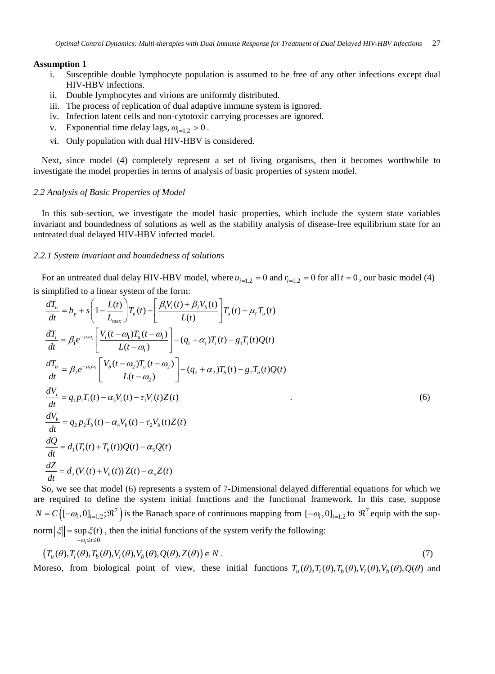#### **Assumption 1**

- i. Susceptible double lymphocyte population is assumed to be free of any other infections except dual HIV-HBV infections.
- ii. Double lymphocytes and virions are uniformly distributed.
- iii. The process of replication of dual adaptive immune system is ignored.
- iv. Infection latent cells and non-cytotoxic carrying processes are ignored.
- v. Exponential time delay lags,  $\omega_{i=1}$ ,  $> 0$ .
- vi. Only population with dual HIV-HBV is considered.

Next, since model (4) completely represent a set of living organisms, then it becomes worthwhile to investigate the model properties in terms of analysis of basic properties of system model.

#### *2.2 Analysis of Basic Properties of Model*

In this sub-section, we investigate the model basic properties, which include the system state variables invariant and boundedness of solutions as well as the stability analysis of disease-free equilibrium state for an untreated dual delayed HIV-HBV infected model.

#### *2.2.1 System invariant and boundedness of solutions*

For an untreated dual delay HIV-HBV model, where  $u_{i=1,2} = 0$  and  $r_{i=1,2} = 0$  for all  $t = 0$ , our basic model (4)

is simplified to a linear system of the form:

$$
\frac{dT_u}{dt} = b_p + s \left( 1 - \frac{L(t)}{L_{\text{max}}} \right) T_u(t) - \left[ \frac{\beta_1 V_i(t) + \beta_2 V_b(t)}{L(t)} \right] T_u(t) - \mu_T T_u(t)
$$
\n
$$
\frac{dT_i}{dt} = \beta_1 e^{-\mu_i \omega_i} \left[ \frac{V_i(t - \omega_1) T_u(t - \omega_1)}{L(t - \omega_1)} \right] - (q_1 + \alpha_1) T_i(t) - g_1 T_i(t) Q(t)
$$
\n
$$
\frac{dT_b}{dt} = \beta_2 e^{-\mu_b \omega_2} \left[ \frac{V_b(t - \omega_2) T_u(t - \omega_2)}{L(t - \omega_2)} \right] - (q_2 + \alpha_2) T_b(t) - g_2 T_b(t) Q(t)
$$
\n
$$
\frac{dV_i}{dt} = q_1 p_1 T_i(t) - \alpha_3 V_i(t) - \tau_1 V_i(t) Z(t)
$$
\n
$$
\frac{dV_b}{dt} = q_2 p_2 T_b(t) - \alpha_4 V_b(t) - \tau_2 V_b(t) Z(t)
$$
\n
$$
\frac{dQ}{dt} = d_1 (T_i(t) + T_b(t)) Q(t) - \alpha_5 Q(t)
$$
\n
$$
\frac{dZ}{dt} = d_2 (V_i(t) + V_b(t)) Z(t) - \alpha_6 Z(t)
$$

So, we see that model (6) represents a system of 7-Dimensional delayed differential equations for which we are required to define the system initial functions and the functional framework. In this case, suppose  $N = C([-\omega_i, 0]_{i=1,2}; \mathfrak{R}^7)$  is the Banach space of continuous mapping from  $[-\omega_i, 0]_{i=1,2}$  to  $\mathfrak{R}^7$  equip with the supnorm  $\|\xi\|$  = sup  $\xi(t)$ , then the initial functions of the system verify the following:  $-\omega_i \leq t \leq 0$ 

$$
(T_u(\theta), T_i(\theta), T_b(\theta), V_i(\theta), V_b(\theta), Q(\theta), Z(\theta)) \in N.
$$
\n<sup>(7)</sup>

Moreso, from biological point of view, these initial functions  $T_u(\theta)$ ,  $T_i(\theta)$ ,  $T_j(\theta)$ ,  $V_j(\theta)$ ,  $V_k(\theta)$ ,  $Q(\theta)$  and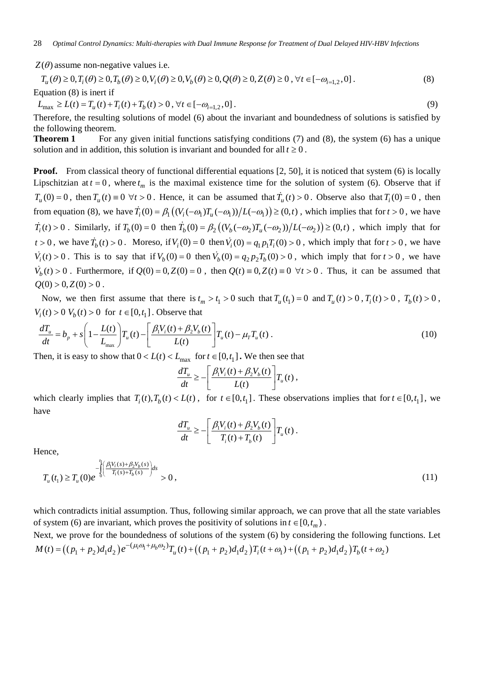$Z(\theta)$  assume non-negative values i.e.

$$
T_u(\theta) \ge 0, T_i(\theta) \ge 0, T_b(\theta) \ge 0, V_i(\theta) \ge 0, V_b(\theta) \ge 0, Q(\theta) \ge 0, Z(\theta) \ge 0, \forall t \in [-\omega_{i=1,2}, 0].
$$
\n(8)

Equation (8) is inert if

 $L_{\text{max}} \ge L(t) = T_u(t) + T_i(t) + T_b(t) > 0, \forall t \in [-\omega_{i=1,2}, 0].$  (9)

Therefore, the resulting solutions of model (6) about the invariant and boundedness of solutions is satisfied by the following theorem.

**Theorem 1** For any given initial functions satisfying conditions (7) and (8), the system (6) has a unique solution and in addition, this solution is invariant and bounded for all  $t \geq 0$ .

**Proof.** From classical theory of functional differential equations [2, 50], it is noticed that system (6) is locally Lipschitzian at  $t = 0$ , where  $t_m$  is the maximal existence time for the solution of system (6). Observe that if  $T_u(0) = 0$ , then  $T_u(t) = 0 \ \forall t > 0$ . Hence, it can be assumed that  $T_u(t) > 0$ . Observe also that  $T_i(0) = 0$ , then from equation (8), we have  $\dot{T}_i(0) = \beta_1((V_i(-\omega_1)T_u(-\omega_1))/L(-\omega_1)) \geq (0,t)$ , which implies that for  $t > 0$ , we have  $\dot{T}_i(t) > 0$ . Similarly, if  $T_b(0) = 0$  then  $\dot{T}_b(0) = \beta_2((V_b(-\omega_2)T_u(-\omega_2))/L(-\omega_2)) \geq (0,t)$ , which imply that for  $t > 0$ , we have  $\dot{T}_b(t) > 0$ . Moreso, if  $V_i(0) = 0$  then  $\dot{V}_i(0) = q_1 p_1 T_i(0) > 0$ , which imply that for  $t > 0$ , we have  $\dot{V}_i(t) > 0$ . This is to say that if  $V_b(0) = 0$  then  $\dot{V}_b(0) = q_2 p_2 T_b(0) > 0$ , which imply that for  $t > 0$ , we have  $\dot{V}_b(t) > 0$ . Furthermore, if  $Q(0) = 0$ ,  $Z(0) = 0$ , then  $Q(t) = 0$ ,  $Z(t) = 0 \quad \forall t > 0$ . Thus, it can be assumed that  $Q(0) > 0, Z(0) > 0$ .

Now, we then first assume that there is  $t_m > t_1 > 0$  such that  $T_u(t_1) = 0$  and  $T_u(t) > 0$ ,  $T_u(t) > 0$ ,  $T_h(t) > 0$ ,  $V_i(t) > 0$   $V_b(t) > 0$  for  $t \in [0, t_1]$ . Observe that

$$
\frac{dT_u}{dt} = b_p + s \left( 1 - \frac{L(t)}{L_{\text{max}}} \right) T_u(t) - \left[ \frac{\beta_1 V_i(t) + \beta_2 V_b(t)}{L(t)} \right] T_u(t) - \mu_r T_u(t) \,. \tag{10}
$$

Then, it is easy to show that  $0 < L(t) < L_{\text{max}}$  for  $t \in [0, t_1]$ . We then see that

$$
\frac{dT_u}{dt} \ge -\left[\frac{\beta_1 V_i(t) + \beta_2 V_b(t)}{L(t)}\right] T_u(t) ,
$$

which clearly implies that  $T_i(t), T_h(t) < L(t)$ , for  $t \in [0, t_1]$ . These observations implies that for  $t \in [0, t_1]$ , we have

$$
\frac{dT_u}{dt} \geq -\left[\frac{\beta_1 V_i(t) + \beta_2 V_b(t)}{T_i(t) + T_b(t)}\right] T_u(t).
$$

Hence,  
\n
$$
T_u(t_1) \ge T_u(0)e^{-\int_0^t \left(\frac{\beta_1 V_i(s) + \beta_2 V_b(s)}{T_i(s) + T_b(s)}\right)ds} > 0,
$$
\n(11)

which contradicts initial assumption. Thus, following similar approach, we can prove that all the state variables of system (6) are invariant, which proves the positivity of solutions in  $t \in [0, t_m)$ .

Next, we prove for the boundedness of solutions of the system (6) by considering the following functions. Let  $M(t) = ((p_1 + p_2)d_1d_2)e^{-(\mu_i\omega_1 + \mu_b\omega_2)}T_u(t) + ((p_1 + p_2)d_1d_2)T_i(t + \omega_1) + ((p_1 + p_2)d_1d_2)T_b(t + \omega_2)$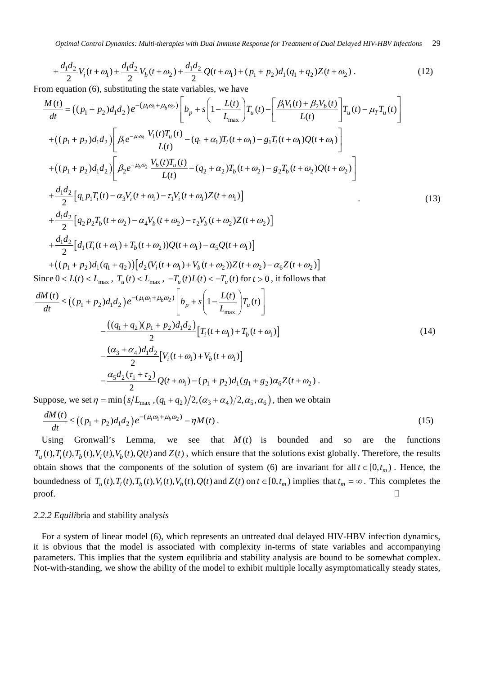$$
+\frac{d_1 d_2}{2}V_i(t+\omega_1) + \frac{d_1 d_2}{2}V_b(t+\omega_2) + \frac{d_1 d_2}{2}Q(t+\omega_1) + (p_1 + p_2)d_1(q_1 + q_2)Z(t+\omega_2).
$$
\n(12)

From equation (6), substituting the state variables, we have

$$
\frac{M(t)}{dt} = ((p_1 + p_2)d_1d_2)e^{-(\mu_i\omega_1 + \mu_b\omega_2)} \left[ b_p + s \left( 1 - \frac{L(t)}{L_{\text{max}}} \right) T_u(t) - \left[ \frac{\beta_1 V_i(t) + \beta_2 V_b(t)}{L(t)} \right] T_u(t) - \mu_T T_u(t) \right]
$$
  
+ 
$$
((p_1 + p_2)d_1d_2) \left[ \beta_1 e^{-\mu_i\omega_1} \frac{V_i(t)T_u(t)}{L(t)} - (q_1 + \alpha_1)T_i(t + \omega_1) - g_1T_i(t + \omega_1)Q(t + \omega_1) \right]
$$
  
+ 
$$
((p_1 + p_2)d_1d_2) \left[ \beta_2 e^{-\mu_b\omega_2} \frac{V_b(t)T_u(t)}{L(t)} - (q_2 + \alpha_2)T_b(t + \omega_2) - g_2T_b(t + \omega_2)Q(t + \omega_2) \right]
$$
  
+ 
$$
\frac{d_1d_2}{2} [q_1p_1T_i(t) - \alpha_3 V_i(t + \omega_1) - \tau_1 V_i(t + \omega_1)Z(t + \omega_1)]
$$
  
+ 
$$
\frac{d_1d_2}{2} [q_2p_2T_b(t + \omega_2) - \alpha_4 V_b(t + \omega_2) - \tau_2 V_b(t + \omega_2)Z(t + \omega_2)]
$$
  
+ 
$$
\frac{d_1d_2}{2} [d_1(T_i(t + \omega_1) + T_b(t + \omega_2))Q(t + \omega_1) - \alpha_5 Q(t + \omega_1)]
$$
  
+ 
$$
((p_1 + p_2)d_1(q_1 + q_2)) [d_2(V_i(t + \omega_1) + V_b(t + \omega_2))Z(t + \omega_2) - \alpha_6 Z(t + \omega_2)]
$$
  
Since  $0 < L(t) < L_{\text{max}}$ ,  $T_u(t) < L_{\text{max}}$ ,  $-T_u(t) L(t) < -T_u(t)$  for  $t > 0$ , it follows that

$$
\frac{dM(t)}{dt} \leq ((p_1 + p_2)d_1d_2)e^{-(\mu_i\omega_1 + \mu_b\omega_2)} \left[ b_p + s \left( 1 - \frac{L(t)}{L_{\text{max}}} \right) T_u(t) \right]
$$

$$
- \frac{((q_1 + q_2)(p_1 + p_2)d_1d_2)}{2} \left[ T_i(t + \omega_1) + T_b(t + \omega_1) \right]
$$

$$
- \frac{(\alpha_3 + \alpha_4)d_1d_2}{2} \left[ V_i(t + \omega_1) + V_b(t + \omega_1) \right]
$$

$$
- \frac{\alpha_5d_2(\tau_1 + \tau_2)}{2} Q(t + \omega_1) - (p_1 + p_2)d_1(g_1 + g_2)\alpha_6 Z(t + \omega_2).
$$
\n(14)

Suppose, we set  $\eta = \min \left( s / L_{\max} , (q_1 + q_2) / 2, (\alpha_3 + \alpha_4) / 2, \alpha_5, \alpha_6 \right)$ , then we obtain

$$
\frac{dM(t)}{dt} \le \left( (p_1 + p_2) d_1 d_2 \right) e^{-(\mu_i \omega_1 + \mu_b \omega_2)} - \eta M(t) \,. \tag{15}
$$

Using Gronwall's Lemma, we see that  $M(t)$  is bounded and so are the functions  $T_u(t)$ ,  $T_i(t)$ ,  $T_h(t)$ ,  $V_i(t)$ ,  $V_h(t)$ ,  $Q(t)$  and  $Z(t)$ , which ensure that the solutions exist globally. Therefore, the results obtain shows that the components of the solution of system (6) are invariant for all  $t \in [0, t_m)$ . Hence, the boundedness of  $T_u(t)$ ,  $T_i(t)$ ,  $T_b(t)$ ,  $V_i(t)$ ,  $V_b(t)$ ,  $Q(t)$  and  $Z(t)$  on  $t \in [0, t_m)$  implies that  $t_m = \infty$ . This completes the  $\Box$ 

#### *2.2.2 Equili*bria and stability analys*is*

For a system of linear model (6), which represents an untreated dual delayed HIV-HBV infection dynamics, it is obvious that the model is associated with complexity in-terms of state variables and accompanying parameters. This implies that the system equilibria and stability analysis are bound to be somewhat complex. Not-with-standing, we show the ability of the model to exhibit multiple locally asymptomatically steady states,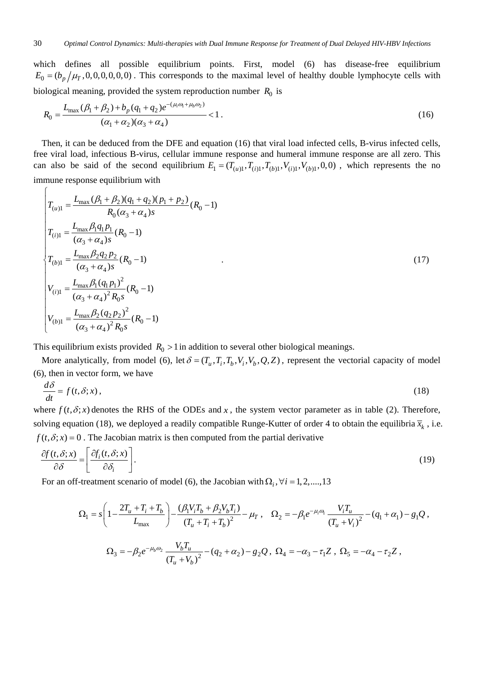which defines all possible equilibrium points. First, model (6) has disease-free equilibrium  $E_0 = (b_p/\mu_\text{r},0,0,0,0,0,0)$ . This corresponds to the maximal level of healthy double lymphocyte cells with biological meaning, provided the system reproduction number  $R_0$  is

$$
R_0 = \frac{L_{\text{max}}(\beta_1 + \beta_2) + b_p(q_1 + q_2)e^{-(\mu_i \omega_1 + \mu_b \omega_2)}}{(\alpha_1 + \alpha_2)(\alpha_3 + \alpha_4)} < 1.
$$
 (16)

Then, it can be deduced from the DFE and equation (16) that viral load infected cells, B-virus infected cells, free viral load, infectious B-virus, cellular immune response and humeral immune response are all zero. This can also be said of the second equilibrium  $E_1 = (T_{(u)1}, T_{(i)1}, T_{(b)1}, V_{(b)1}, 0, 0)$ , which represents the no immune response equilibrium with

$$
T_{(u)1} = \frac{L_{\text{max}}(\beta_1 + \beta_2)(q_1 + q_2)(p_1 + p_2)}{R_0(\alpha_3 + \alpha_4)s}(R_0 - 1)
$$
  
\n
$$
T_{(i)1} = \frac{L_{\text{max}}\beta_1 q_1 p_1}{(\alpha_3 + \alpha_4)s}(R_0 - 1)
$$
  
\n
$$
T_{(b)1} = \frac{L_{\text{max}}\beta_2 q_2 p_2}{(\alpha_3 + \alpha_4)s}(R_0 - 1)
$$
  
\n
$$
V_{(i)1} = \frac{L_{\text{max}}\beta_1 (q_1 p_1)^2}{(\alpha_3 + \alpha_4)^2 R_0 s}(R_0 - 1)
$$
  
\n
$$
V_{(b)1} = \frac{L_{\text{max}}\beta_2 (q_2 p_2)^2}{(\alpha_3 + \alpha_4)^2 R_0 s}(R_0 - 1)
$$
  
\n(17)

This equilibrium exists provided  $R_0 > 1$  in addition to several other biological meanings.

 $\sqrt{ }$ 

More analytically, from model (6), let  $\delta = (T_u, T_i, T_b, V_i, V_b, Q, Z)$ , represent the vectorial capacity of model (6), then in vector form, we have

$$
\frac{d\delta}{dt} = f(t, \delta; x),\tag{18}
$$

where  $f(t, \delta; x)$  denotes the RHS of the ODEs and x, the system vector parameter as in table (2). Therefore, solving equation (18), we deployed a readily compatible Runge-Kutter of order 4 to obtain the equilibria  $\bar{x}_k$ , i.e.  $f(t, \delta; x) = 0$ . The Jacobian matrix is then computed from the partial derivative

$$
\frac{\partial f(t,\delta;x)}{\partial \delta} = \left[ \frac{\partial f_i(t,\delta;x)}{\partial \delta_i} \right].
$$
\n(19)

For an off-treatment scenario of model (6), the Jacobian with  $\Omega_i$ ,  $\forall i = 1, 2, \ldots, 13$ 

$$
\Omega_1 = s \left( 1 - \frac{2T_u + T_i + T_b}{L_{\text{max}}} \right) - \frac{(\beta_1 V_i T_b + \beta_2 V_b T_i)}{(T_u + T_i + T_b)^2} - \mu_T , \quad \Omega_2 = -\beta_1 e^{-\mu_i \omega_1} \frac{V_i T_u}{(T_u + V_i)^2} - (q_1 + \alpha_1) - g_1 Q ,
$$
  

$$
\Omega_3 = -\beta_2 e^{-\mu_b \omega_2} \frac{V_b T_u}{(T_u + V_b)^2} - (q_2 + \alpha_2) - g_2 Q , \quad \Omega_4 = -\alpha_3 - \tau_1 Z , \quad \Omega_5 = -\alpha_4 - \tau_2 Z ,
$$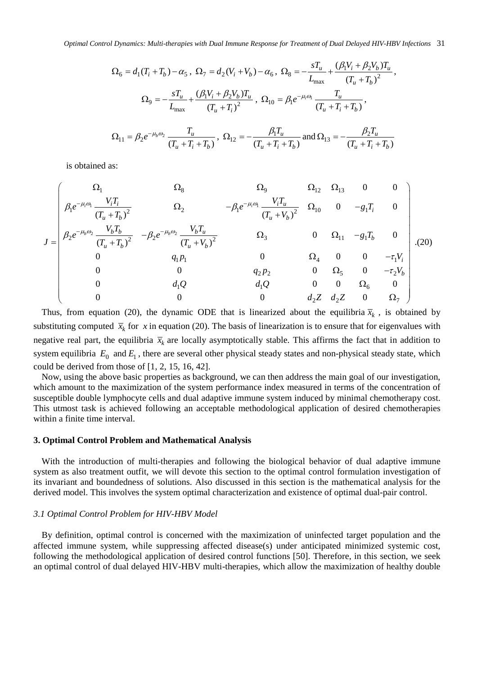$$
\Omega_6 = d_1(T_i + T_b) - \alpha_5, \ \Omega_7 = d_2(V_i + V_b) - \alpha_6, \ \Omega_8 = -\frac{sT_u}{L_{\text{max}}} + \frac{(\beta_1 V_i + \beta_2 V_b)T_u}{(T_u + T_b)^2},
$$

$$
\Omega_9 = -\frac{sT_u}{L_{\text{max}}} + \frac{(\beta_1 V_i + \beta_2 V_b)T_u}{(T_u + T_i)^2}, \ \Omega_{10} = \beta_1 e^{-\mu_i \omega_i} \frac{T_u}{(T_u + T_i + T_b)},
$$

$$
\Omega_{11} = \beta_2 e^{-\mu_b \omega_2} \frac{T_u}{(T_u + T_i + T_b)}, \ \Omega_{12} = -\frac{\beta_1 T_u}{(T_u + T_i + T_b)} \text{ and } \Omega_{13} = -\frac{\beta_2 T_u}{(T_u + T_i + T_b)}
$$

is obtained as:

$$
J = \begin{pmatrix}\n\Omega_{1} & \Omega_{8} & \Omega_{9} & \Omega_{12} & \Omega_{13} & 0 & 0 \\
\beta_{1}e^{-\mu_{i}\omega_{1}}\frac{V_{i}T_{i}}{(T_{u}+T_{b})^{2}} & \Omega_{2} & -\beta_{1}e^{-\mu_{i}\omega_{1}}\frac{V_{i}T_{u}}{(T_{u}+V_{b})^{2}} & \Omega_{10} & 0 & -g_{1}T_{i} & 0 \\
\beta_{2}e^{-\mu_{b}\omega_{2}}\frac{V_{b}T_{b}}{(T_{u}+T_{b})^{2}} & -\beta_{2}e^{-\mu_{b}\omega_{2}}\frac{V_{b}T_{u}}{(T_{u}+V_{b})^{2}} & \Omega_{3} & 0 & \Omega_{11} & -g_{1}T_{b} & 0 \\
0 & q_{1}p_{1} & 0 & \Omega_{2} & 0 & 0 & -\tau_{1}V_{i} \\
0 & 0 & q_{1}Q & q_{1}Q & 0 & 0 & \Omega_{5} & 0 & -\tau_{2}V_{b} \\
0 & 0 & 0 & 0 & q_{2}Z & q_{2}Z & 0 & \Omega_{7}\n\end{pmatrix}.
$$
(20)

Thus, from equation (20), the dynamic ODE that is linearized about the equilibria  $\bar{x}_k$ , is obtained by substituting computed  $\bar{x}_k$  for x in equation (20). The basis of linearization is to ensure that for eigenvalues with negative real part, the equilibria  $\bar{x}_k$  are locally asymptotically stable. This affirms the fact that in addition to system equilibria  $E_0$  and  $E_1$ , there are several other physical steady states and non-physical steady state, which could be derived from those of [1, 2, 15, 16, 42].

Now, using the above basic properties as background, we can then address the main goal of our investigation, which amount to the maximization of the system performance index measured in terms of the concentration of susceptible double lymphocyte cells and dual adaptive immune system induced by minimal chemotherapy cost. This utmost task is achieved following an acceptable methodological application of desired chemotherapies within a finite time interval.

#### **3. Optimal Control Problem and Mathematical Analysis**

With the introduction of multi-therapies and following the biological behavior of dual adaptive immune system as also treatment outfit, we will devote this section to the optimal control formulation investigation of its invariant and boundedness of solutions. Also discussed in this section is the mathematical analysis for the derived model. This involves the system optimal characterization and existence of optimal dual-pair control.

#### *3.1 Optimal Control Problem for HIV-HBV Model*

By definition, optimal control is concerned with the maximization of uninfected target population and the affected immune system, while suppressing affected disease(s) under anticipated minimized systemic cost, following the methodological application of desired control functions [50]. Therefore, in this section, we seek an optimal control of dual delayed HIV-HBV multi-therapies, which allow the maximization of healthy double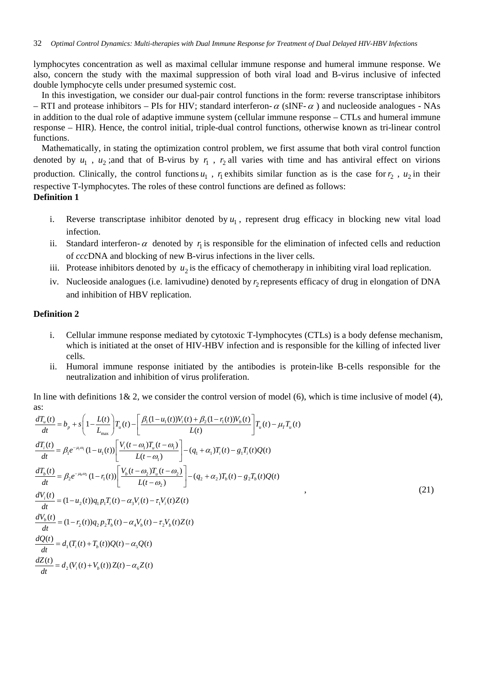lymphocytes concentration as well as maximal cellular immune response and humeral immune response. We also, concern the study with the maximal suppression of both viral load and B-virus inclusive of infected double lymphocyte cells under presumed systemic cost.

In this investigation, we consider our dual-pair control functions in the form: reverse transcriptase inhibitors – RTI and protease inhibitors – PIs for HIV; standard interferon- $\alpha$  (sINF- $\alpha$ ) and nucleoside analogues - NAs in addition to the dual role of adaptive immune system (cellular immune response – CTLs and humeral immune response – HIR). Hence, the control initial, triple-dual control functions, otherwise known as tri-linear control functions.

Mathematically, in stating the optimization control problem, we first assume that both viral control function denoted by  $u_1$ ,  $u_2$ ; and that of B-virus by  $r_1$ ,  $r_2$  all varies with time and has antiviral effect on virions production. Clinically, the control functions  $u_1$ ,  $r_1$  exhibits similar function as is the case for  $r_2$ ,  $u_2$  in their respective T-lymphocytes. The roles of these control functions are defined as follows: **Definition 1**

- i. Reverse transcriptase inhibitor denoted by  $u_1$ , represent drug efficacy in blocking new vital load infection.
- ii. Standard interferon- $\alpha$  denoted by  $r_i$  is responsible for the elimination of infected cells and reduction of *ccc*DNA and blocking of new B-virus infections in the liver cells.
- iii. Protease inhibitors denoted by  $u_2$  is the efficacy of chemotherapy in inhibiting viral load replication.
- iv. Nucleoside analogues (i.e. lamivudine) denoted by  $r_2$  represents efficacy of drug in elongation of DNA and inhibition of HBV replication.

### **Definition 2**

- i. Cellular immune response mediated by cytotoxic T-lymphocytes (CTLs) is a body defense mechanism, which is initiated at the onset of HIV-HBV infection and is responsible for the killing of infected liver cells.
- ii. Humoral immune response initiated by the antibodies is protein-like B-cells responsible for the neutralization and inhibition of virus proliferation.

In line with definitions  $1\& 2$ , we consider the control version of model (6), which is time inclusive of model (4), as:

$$
\frac{dT_u(t)}{dt} = b_p + s \left( 1 - \frac{L(t)}{L_{\text{max}}} \right) T_u(t) - \left[ \frac{\beta_1 (1 - u_1(t)) V_i(t) + \beta_2 (1 - r_1(t)) V_b(t)}{L(t)} \right] T_u(t) - \mu_r T_u(t)
$$
\n
$$
\frac{dT_i(t)}{dt} = \beta_1 e^{-\mu_i \omega_i} (1 - u_1(t)) \left[ \frac{V_i(t - \omega_i) T_u(t - \omega_i)}{L(t - \omega_i)} \right] - (q_1 + \alpha_i) T_i(t) - g_1 T_i(t) Q(t)
$$
\n
$$
\frac{dT_b(t)}{dt} = \beta_2 e^{-\mu_b \omega_2} (1 - r_1(t)) \left[ \frac{V_b(t - \omega_2) T_u(t - \omega_2)}{L(t - \omega_2)} \right] - (q_2 + \alpha_2) T_b(t) - g_2 T_b(t) Q(t)
$$
\n
$$
\frac{dV_i(t)}{dt} = (1 - u_2(t)) q_1 p_1 T_i(t) - \alpha_3 V_i(t) - \tau_1 V_i(t) Z(t)
$$
\n
$$
\frac{dV_b(t)}{dt} = (1 - r_2(t)) q_2 p_2 T_b(t) - \alpha_4 V_b(t) - \tau_2 V_b(t) Z(t)
$$
\n
$$
\frac{dQ(t)}{dt} = d_1 (T_i(t) + T_b(t)) Q(t) - \alpha_s Q(t)
$$
\n
$$
\frac{dZ(t)}{dt} = d_2 (V_i(t) + V_b(t)) Z(t) - \alpha_6 Z(t)
$$
\n(1)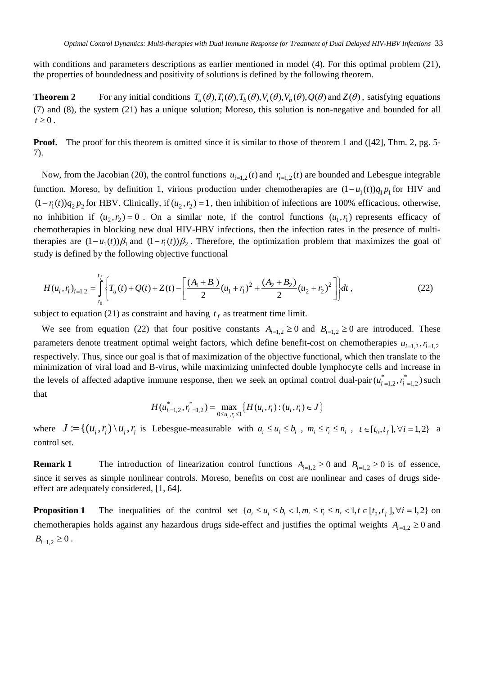with conditions and parameters descriptions as earlier mentioned in model (4). For this optimal problem (21), the properties of boundedness and positivity of solutions is defined by the following theorem.

**Theorem 2** For any initial conditions  $T_u(\theta), T_i(\theta), T_b(\theta), V_i(\theta), Q(\theta)$  and  $Z(\theta)$ , satisfying equations (7) and (8), the system (21) has a unique solution; Moreso, this solution is non-negative and bounded for all  $t \geq 0$ .

**Proof.** The proof for this theorem is omitted since it is similar to those of theorem 1 and ([42], Thm. 2, pg. 5-7).

Now, from the Jacobian (20), the control functions  $u_{i=1,2}(t)$  and  $r_{i=1,2}(t)$  are bounded and Lebesgue integrable function. Moreso, by definition 1, virions production under chemotherapies are  $(1 - u_1(t))q_1p_1$  for HIV and  $(1 - r_1(t)) q_2 p_2$  for HBV. Clinically, if  $(u_2, r_2) = 1$ , then inhibition of infections are 100% efficacious, otherwise, no inhibition if  $(u_2, r_2) = 0$ . On a similar note, if the control functions  $(u_1, r_1)$  represents efficacy of chemotherapies in blocking new dual HIV-HBV infections, then the infection rates in the presence of multitherapies are  $(1 - u_1(t))\beta_1$  and  $(1 - r_1(t))\beta_2$ . Therefore, the optimization problem that maximizes the goal of study is defined by the following objective functional

$$
H(u_i, r_i)_{i=1,2} = \int_{t_0}^{t_f} \left\{ T_u(t) + Q(t) + Z(t) - \left[ \frac{(A_1 + B_1)}{2} (u_1 + r_1)^2 + \frac{(A_2 + B_2)}{2} (u_2 + r_2)^2 \right] \right\} dt ,
$$
 (22)

subject to equation (21) as constraint and having  $t_f$  as treatment time limit.

We see from equation (22) that four positive constants  $A_{i=1,2} \ge 0$  and  $B_{i=1,2} \ge 0$  are introduced. These parameters denote treatment optimal weight factors, which define benefit-cost on chemotherapies  $u_{i=1,2}$ ,  $r_{i=1,2}$ respectively. Thus, since our goal is that of maximization of the objective functional, which then translate to the minimization of viral load and B-virus, while maximizing uninfected double lymphocyte cells and increase in the levels of affected adaptive immune response, then we seek an optimal control dual-pair  $(u_{i=1,2}^*, r_{i=1,2}^*)$  such that

$$
H(u_{i=1,2}^*, r_{i=1,2}^*) = \max_{0 \le u_i, r_i \le 1} \{ H(u_i, r_i) : (u_i, r_i) \in J \}
$$

where  $J := \{(u_i, r_i) \setminus u_i, r_i \text{ is Lebesgue-measurable with } a_i \le u_i \le b_i, m_i \le r_i \le n_i, t \in [t_0, t_f], \forall i = 1, 2\}$  a control set.

**Remark 1** The introduction of linearization control functions  $A_{i=1,2} \ge 0$  and  $B_{i=1,2} \ge 0$  is of essence, since it serves as simple nonlinear controls. Moreso, benefits on cost are nonlinear and cases of drugs sideeffect are adequately considered, [1, 64].

**Proposition 1** The inequalities of the control set  $\{a_i \leq u_i \leq b_i < 1, m_i \leq r_i \leq n_i < 1, t \in [t_0, t_f], \forall i = 1, 2\}$  on chemotherapies holds against any hazardous drugs side-effect and justifies the optimal weights  $A_{i=1,2} \geq 0$  and  $B_{i=1,2} \geq 0$ .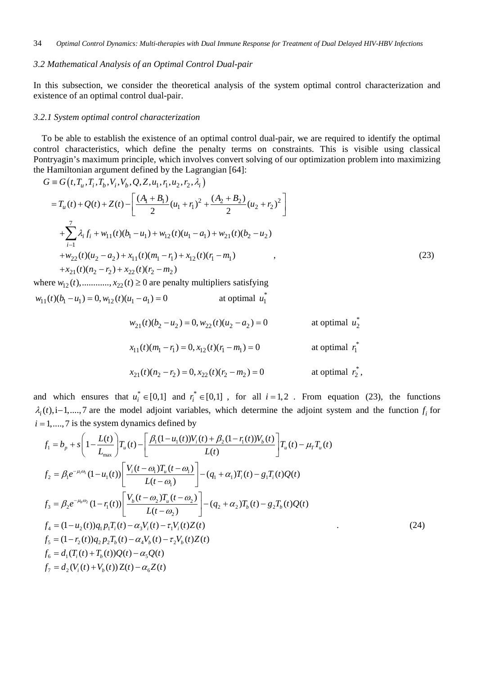#### *3.2 Mathematical Analysis of an Optimal Control Dual-pair*

In this subsection, we consider the theoretical analysis of the system optimal control characterization and existence of an optimal control dual-pair.

#### *3.2.1 System optimal control characterization*

To be able to establish the existence of an optimal control dual-pair, we are required to identify the optimal control characteristics, which define the penalty terms on constraints. This is visible using classical Pontryagin's maximum principle, which involves convert solving of our optimization problem into maximizing the Hamiltonian argument defined by the Lagrangian [64]:

$$
G = G(t, T_u, T_i, T_b, V_i, V_b, Q, Z, u_1, r_1, u_2, r_2, \lambda_i)
$$
  
\n
$$
= T_u(t) + Q(t) + Z(t) - \left[ \frac{(A_1 + B_1)}{2} (u_1 + r_1)^2 + \frac{(A_2 + B_2)}{2} (u_2 + r_2)^2 \right]
$$
  
\n
$$
+ \sum_{i=1}^7 \lambda_i f_i + w_{11}(t) (b_1 - u_1) + w_{12}(t) (u_1 - a_1) + w_{21}(t) (b_2 - u_2)
$$
  
\n
$$
+ w_{22}(t) (u_2 - a_2) + x_{11}(t) (m_1 - r_1) + x_{12}(t) (r_1 - m_1)
$$
  
\n
$$
+ x_{21}(t) (n_2 - r_2) + x_{22}(t) (r_2 - m_2)
$$
\n(23)

where  $w_{12}(t)$ ,..........,  $x_{22}(t) \ge 0$  are penalty multipliers satisfying

$$
w_{11}(t)(b_1 - u_1) = 0, w_{12}(t)(u_1 - a_1) = 0
$$
 at optimal  $u_1^*$ 

$$
w_{21}(t)(b_2 - u_2) = 0, w_{22}(t)(u_2 - a_2) = 0
$$
 at optimal  $u_2^*$ 

$$
x_{11}(t)(m_1 - r_1) = 0, x_{12}(t)(r_1 - m_1) = 0
$$
 at optimal  $r_1^*$ 

$$
x_{21}(t)(n_2 - r_2) = 0, x_{22}(t)(r_2 - m_2) = 0
$$
 at optimal  $r_2^*$ ,

and which ensures that  $u_i^* \in [0,1]$  and  $r_i^* \in [0,1]$ , for all  $i = 1, 2$ . From equation (23), the functions  $\lambda_i(t)$ , i-1,....,7 are the model adjoint variables, which determine the adjoint system and the function  $f_i$  for  $i = 1, \ldots, 7$  is the system dynamics defined by

$$
f_{1} = b_{p} + s \left( 1 - \frac{L(t)}{L_{\max}} \right) T_{u}(t) - \left[ \frac{\beta_{1} (1 - u_{1}(t)) V_{i}(t) + \beta_{2} (1 - r_{1}(t)) V_{b}(t)}{L(t)} \right] T_{u}(t) - \mu_{T} T_{u}(t)
$$
  
\n
$$
f_{2} = \beta_{1} e^{-\mu_{i}\omega_{i}} (1 - u_{1}(t)) \left[ \frac{V_{i}(t - \omega_{1}) T_{u}(t - \omega_{1})}{L(t - \omega_{1})} \right] - (q_{1} + \alpha_{1}) T_{i}(t) - g_{1} T_{i}(t) Q(t)
$$
  
\n
$$
f_{3} = \beta_{2} e^{-\mu_{0}\omega_{2}} (1 - r_{1}(t)) \left[ \frac{V_{b}(t - \omega_{2}) T_{u}(t - \omega_{2})}{L(t - \omega_{2})} \right] - (q_{2} + \alpha_{2}) T_{b}(t) - g_{2} T_{b}(t) Q(t)
$$
  
\n
$$
f_{4} = (1 - u_{2}(t)) q_{1} p_{1} T_{i}(t) - \alpha_{3} V_{i}(t) - \tau_{1} V_{i}(t) Z(t)
$$
  
\n
$$
f_{5} = (1 - r_{2}(t)) q_{2} p_{2} T_{b}(t) - \alpha_{4} V_{b}(t) - \tau_{2} V_{b}(t) Z(t)
$$
  
\n
$$
f_{6} = d_{1} (T_{i}(t) + T_{b}(t)) Q(t) - \alpha_{5} Q(t)
$$
  
\n
$$
f_{7} = d_{2} (V_{i}(t) + V_{b}(t)) Z(t) - \alpha_{6} Z(t)
$$
  
\n(24)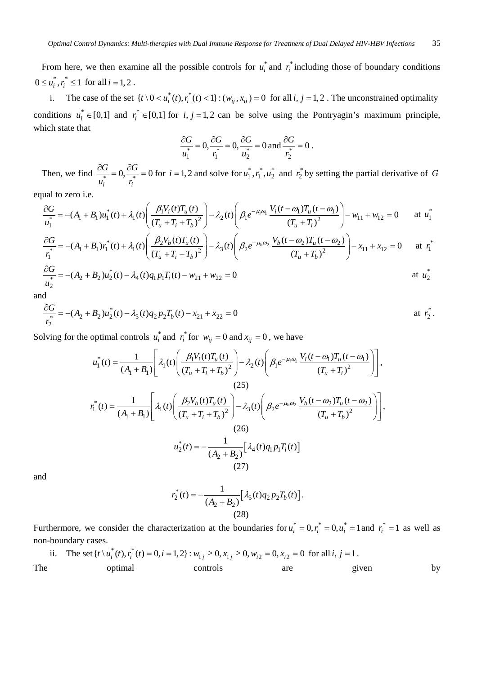From here, we then examine all the possible controls for  $u_i^*$  and  $r_i^*$  including those of boundary conditions  $0 \le u_i^*, r_i^* \le 1$  for all  $i = 1, 2$ .

i. The case of the set  $\{t \setminus 0 < u_i^*(t), r_i^*(t) < 1\}$ :  $(w_{ij}, x_{ij}) = 0$  for all *i*,  $j = 1, 2$ . The unconstrained optimality conditions  $u_i^* \in [0,1]$  and  $r_i^* \in [0,1]$  for  $i, j = 1,2$  can be solve using the Pontryagin's maximum principle, which state that

$$
\frac{\partial G}{u_1^*}=0, \frac{\partial G}{r_1^*}=0, \frac{\partial G}{u_2^*}=0 \text{ and } \frac{\partial G}{r_2^*}=0.
$$

Then, we find  $\frac{\partial G}{\partial t_i} = 0$ ,  $\frac{\partial G}{\partial t_i} = 0$ *G G*  $u_i$  *r*  $\frac{\partial G}{\partial x^*} = 0$ ,  $\frac{\partial G}{\partial y^*} = 0$  for  $i = 1, 2$  and solve for  $u_1^*, v_1^*, u_2^*$  and  $v_2^*$  by setting the partial derivative of *G* 

equal to zero i.e.

$$
\frac{\partial G}{u_1^*} = -(A_1 + B_1)u_1^*(t) + \lambda_1(t) \left( \frac{\beta_1 V_i(t) T_u(t)}{(T_u + T_i + T_b)^2} \right) - \lambda_2(t) \left( \beta_1 e^{-\mu_i \omega_1} \frac{V_i(t - \omega_1) T_u(t - \omega_1)}{(T_u + T_i)^2} \right) - w_{11} + w_{12} = 0 \quad \text{at } u_1^*
$$
\n
$$
\frac{\partial G}{\eta_1^*} = -(A_1 + B_1) r_1^*(t) + \lambda_1(t) \left( \frac{\beta_2 V_b(t) T_u(t)}{(T_u + T_i + T_b)^2} \right) - \lambda_3(t) \left( \beta_2 e^{-\mu_b \omega_2} \frac{V_b(t - \omega_2) T_u(t - \omega_2)}{(T_u + T_b)^2} \right) - x_{11} + x_{12} = 0 \quad \text{at } r_1^*
$$
\n
$$
\frac{\partial G}{\eta_2^*} = -(A_2 + B_2)u_2^*(t) - \lambda_4(t) q_1 p_1 T_i(t) - w_{21} + w_{22} = 0 \quad \text{at } u_2^*
$$

and

$$
\frac{\partial G}{r_2^*} = -(A_2 + B_2)u_2^*(t) - \lambda_5(t)q_2p_2T_b(t) - x_{21} + x_{22} = 0
$$
 at  $r_2^*$ .

Solving for the optimal controls  $u_i^*$  and  $r_i^*$  for  $w_{ij} = 0$  and  $x_{ij} = 0$ , we have

$$
u_1^*(t) = \frac{1}{(A_1 + B_1)} \left[ \lambda_1(t) \left( \frac{\beta_1 V_i(t) T_u(t)}{(T_u + T_i + T_b)^2} \right) - \lambda_2(t) \left( \beta_1 e^{-\mu_i \omega_1} \frac{V_i(t - \omega_1) T_u(t - \omega_1)}{(T_u + T_i)^2} \right) \right],
$$
  
(25)  

$$
r_1^*(t) = \frac{1}{(A_1 + B_1)} \left[ \lambda_1(t) \left( \frac{\beta_2 V_b(t) T_u(t)}{(T_u + T_i + T_b)^2} \right) - \lambda_3(t) \left( \beta_2 e^{-\mu_b \omega_2} \frac{V_b(t - \omega_2) T_u(t - \omega_2)}{(T_u + T_b)^2} \right) \right],
$$
  
(26)  

$$
u_2^*(t) = -\frac{1}{(A_2 + B_2)} \left[ \lambda_4(t) q_1 p_1 T_i(t) \right]
$$
  
(27)

and

$$
r_2^*(t) = -\frac{1}{(A_2 + B_2)} \Big[ \lambda_5(t) q_2 p_2 T_b(t) \Big].
$$
\n(28)

Furthermore, we consider the characterization at the boundaries for  $u_i^* = 0, r_i^* = 0, u_i^* = 1$  and  $r_i^* = 1$  as well as non-boundary cases.

ii. The set 
$$
\{t \setminus u_i^*(t), r_i^*(t) = 0, i = 1, 2\} : w_{1j} \ge 0, x_{1j} \ge 0, w_{i2} = 0, x_{i2} = 0 \text{ for all } i, j = 1.
$$
  
The optimal controls are given by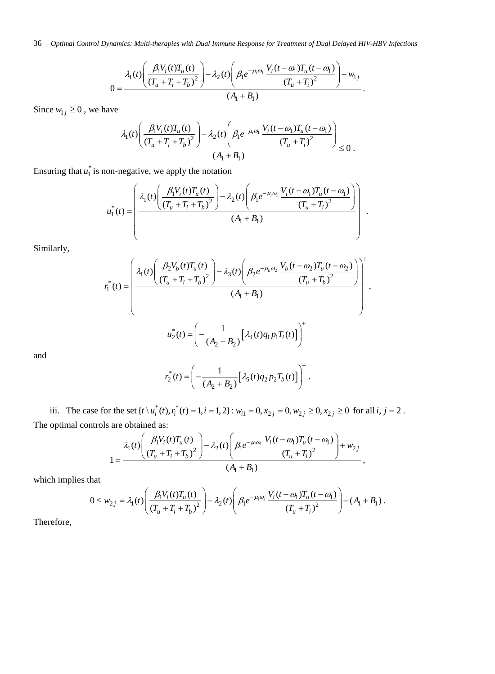36 *Optimal Control Dynamics: Multi-therapies with Dual Immune Response for Treatment of Dual Delayed HIV-HBV Infections*

$$
0 = \frac{\lambda_1(t) \left( \frac{\beta_1 V_i(t) T_u(t)}{(T_u + T_i + T_b)^2} \right) - \lambda_2(t) \left( \beta_1 e^{-\mu_i \omega_1} \frac{V_i(t - \omega_1) T_u(t - \omega_1)}{(T_u + T_i)^2} \right) - w_{1j}}{(A_1 + B_1)}.
$$

Since  $w_{1j} \geq 0$ , we have

$$
\frac{\lambda_1(t) \left( \frac{\beta_1 V_i(t) T_u(t)}{(T_u + T_i + T_b)^2} - \lambda_2(t) \left( \beta_1 e^{-\mu_i \omega_1} \frac{V_i(t - \omega_1) T_u(t - \omega_1)}{(T_u + T_i)^2} \right) - \lambda_2(t) \left( \beta_1 e^{-\mu_i \omega_1} \frac{(T_u + T_i)^2}{(T_u + T_i)^2} \right) \leq 0.
$$

Ensuring that  $u_1^*$  is non-negative, we apply the notation

$$
u_1^*(t) = \left(\frac{\lambda_1(t) \left(\frac{\beta_1 V_i(t) T_u(t)}{(T_u + T_i + T_b)^2}\right) - \lambda_2(t) \left(\beta_1 e^{-\mu_i \omega_i} \frac{V_i(t - \omega_1) T_u(t - \omega_1)}{(T_u + T_i)^2}\right)}{(A_1 + B_1)}\right)^{T}.
$$

 $\sqrt{4}$ 

Similarly,

$$
r_1^*(t) = \left(\frac{\lambda_1(t) \left(\frac{\beta_2 V_b(t) T_u(t)}{(T_u + T_i + T_b)^2}\right) - \lambda_3(t) \left(\beta_2 e^{-\mu_b \omega_2} \frac{V_b(t - \omega_2) T_u(t - \omega_2)}{(T_u + T_b)^2}\right)}{(A_1 + B_1)}\right)^+,
$$
  

$$
u_2^*(t) = \left(-\frac{1}{(A_2 + B_2)} \left[\lambda_4(t) q_1 p_1 T_i(t)\right]\right)^+
$$

and

$$
r_2^*(t) = \left(-\frac{1}{(A_2 + B_2)}\left[\lambda_5(t)q_2p_2T_b(t)\right]\right)^+.
$$

iii. The case for the set  $\{t \setminus u_i^*(t), r_i^*(t) = 1, i = 1, 2\}$ :  $w_{i1} = 0, x_{2j} = 0, w_{2j} \ge 0, x_{2j} \ge 0$  for all  $i, j = 2$ . The optimal controls are obtained as:

$$
1 = \frac{\lambda_1(t) \left( \frac{\beta_1 V_i(t) T_u(t)}{(T_u + T_i + T_b)^2} \right) - \lambda_2(t) \left( \beta_1 e^{-\mu_i \omega_i} \frac{V_i(t - \omega_1) T_u(t - \omega_1)}{(T_u + T_i)^2} \right) + w_{2j}}{(A_1 + B_1)},
$$

which implies that

$$
0 \le w_{2j} = \lambda_1(t) \left( \frac{\beta_1 V_i(t) T_u(t)}{(T_u + T_i + T_b)^2} \right) - \lambda_2(t) \left( \beta_1 e^{-\mu_i \omega_1} \frac{V_i(t - \omega_1) T_u(t - \omega_1)}{(T_u + T_i)^2} \right) - (A_1 + B_1).
$$

Therefore,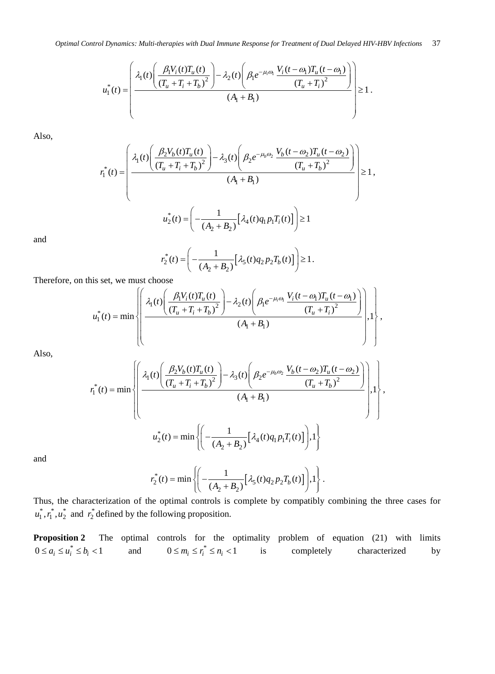$$
u_1^*(t) = \left(\frac{\lambda_1(t) \left(\frac{\beta_1 V_i(t) T_u(t)}{(T_u + T_i + T_b)^2}\right) - \lambda_2(t) \left(\beta_1 e^{-\mu_i \omega_1} \frac{V_i(t - \omega_1) T_u(t - \omega_1)}{(T_u + T_i)^2}\right)}{(A_1 + B_1)}\right) \ge 1.
$$

Also,

$$
r_1^*(t) = \left(\frac{\lambda_1(t) \left(\frac{\beta_2 V_b(t) T_u(t)}{(T_u + T_i + T_b)^2}\right) - \lambda_3(t) \left(\beta_2 e^{-\mu_b \omega_2} \frac{V_b(t - \omega_2) T_u(t - \omega_2)}{(T_u + T_b)^2}\right)}{(A_1 + B_1)}\right) \ge 1,
$$
  

$$
u_2^*(t) = \left(-\frac{1}{(A_2 + B_2)}[\lambda_4(t) q_1 p_1 T_i(t)]\right) \ge 1
$$

and

$$
r_2^*(t) = \left(-\frac{1}{(A_2 + B_2)}\Big[\lambda_5(t)q_2p_2T_b(t)\Big]\right) \ge 1.
$$

Therefore, on this set, we must choose

$$
u_1^*(t) = \min \left\{ \left( \frac{\lambda_1(t) \left( \frac{\beta_1 V_i(t) T_u(t)}{(T_u + T_i + T_b)^2} \right) - \lambda_2(t) \left( \beta_1 e^{-\mu_i \omega_1} \frac{V_i(t - \omega_1) T_u(t - \omega_1)}{(T_u + T_i)^2} \right) \right)}{(A_1 + B_1)}, \dots \right\},
$$

Also,

$$
r_1^*(t) = \min \left\{ \left( \frac{\lambda_1(t) \left( \frac{\beta_2 V_b(t) T_u(t)}{(T_u + T_i + T_b)^2} \right) - \lambda_3(t) \left( \beta_2 e^{-\mu_b \omega_2} \frac{V_b(t - \omega_2) T_u(t - \omega_2)}{(T_u + T_b)^2} \right)}{(A_1 + B_1)}, 1 \right\},
$$
  

$$
u_2^*(t) = \min \left\{ \left( -\frac{1}{(A_2 + B_2)} \left[ \lambda_4(t) q_1 p_1 T_i(t) \right], 1 \right\} \right\}
$$

and

$$
r_2^*(t) = \min \left\{ \left( -\frac{1}{(A_2 + B_2)} \Big[ \lambda_5(t) q_2 p_2 T_b(t) \Big] \right), 1 \right\}.
$$

Thus, the characterization of the optimal controls is complete by compatibly combining the three cases for  $u_1^*, r_1^*, u_2^*$  and  $r_2^*$  defined by the following proposition.

**Proposition 2** The optimal controls for the optimality problem of equation (21) with limits  $0 \le a_i \le u_i^* \le b_i < 1$  and  $0 \le m_i \le r_i^* \le n_i < 1$  is completely characterized by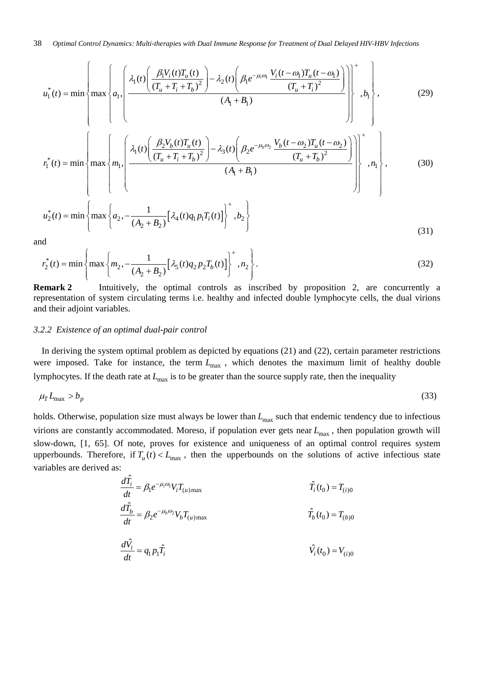$$
u_{1}^{*}(t) = \min \left\{ \max \left\{ a_{1} \left( \frac{\lambda_{1}(t) \left( \frac{\beta_{1}V_{i}(t)T_{u}(t)}{(T_{u} + T_{i} + T_{b})^{2}} \right) - \lambda_{2}(t) \left( \beta_{1}e^{-\mu_{i}\omega_{1}} \frac{V_{i}(t - \omega_{1})T_{u}(t - \omega_{1})}{(T_{u} + T_{i})^{2}} \right) \right) \right\}^{+}, b_{1} \right\}, \qquad (29)
$$
\n
$$
r_{1}^{*}(t) = \min \left\{ \max \left\{ m_{1}, \left( \frac{\lambda_{1}(t) \left( \frac{\beta_{2}V_{b}(t)T_{u}(t)}{(T_{u} + T_{i} + T_{b})^{2}} \right) - \lambda_{3}(t) \left( \beta_{2}e^{-\mu_{b}\omega_{2}} \frac{V_{b}(t - \omega_{2})T_{u}(t - \omega_{2})}{(T_{u} + T_{b})^{2}} \right) \right) \right\}^{+}, b_{1} \right\}, \qquad (30)
$$
\n
$$
u_{2}^{*}(t) = \min \left\{ \max \left\{ a_{2}, -\frac{1}{(A_{2} + B_{2})} \left[ \lambda_{4}(t)q_{1}p_{1}T_{i}(t) \right] \right\}^{+}, b_{2} \right\}
$$
\n
$$
(31)
$$

and

$$
r_2^*(t) = \min\left\{\max\left\{m_2, -\frac{1}{(A_2 + B_2)}[\lambda_5(t)q_2p_2T_b(t)]\right\}^+, n_2\right\}.
$$
 (32)

Remark 2 Intuitively, the optimal controls as inscribed by proposition 2, are concurrently a representation of system circulating terms i.e. healthy and infected double lymphocyte cells, the dual virions and their adjoint variables.

#### *3.2.2 Existence of an optimal dual-pair control*

In deriving the system optimal problem as depicted by equations (21) and (22), certain parameter restrictions were imposed. Take for instance, the term  $L_{\text{max}}$ , which denotes the maximum limit of healthy double lymphocytes. If the death rate at  $L_{\text{max}}$  is to be greater than the source supply rate, then the inequality

$$
\mu_{\rm T} L_{\rm max} > b_p \tag{33}
$$

holds. Otherwise, population size must always be lower than  $L_{\text{max}}$  such that endemic tendency due to infectious virions are constantly accommodated. Moreso, if population ever gets near  $L_{\text{max}}$ , then population growth will slow-down, [1, 65]. Of note, proves for existence and uniqueness of an optimal control requires system upperbounds. Therefore, if  $T_u(t) < L_{\text{max}}$ , then the upperbounds on the solutions of active infectious state variables are derived as:

$$
\frac{d\hat{T}_i}{dt} = \beta_1 e^{-\mu_i \omega_i} V_i T_{(u) \max} \qquad \hat{T}_i(t_0) = T_{(i)0}
$$
  

$$
\frac{d\hat{T}_b}{dt} = \beta_2 e^{-\mu_b \omega_2} V_b T_{(u) \max} \qquad \hat{T}_b(t_0) = T_{(b)0}
$$
  

$$
\frac{d\hat{V}_i}{dt} = q_1 p_1 \hat{T}_i \qquad \hat{V}_i(t_0) = V_{(i)0}
$$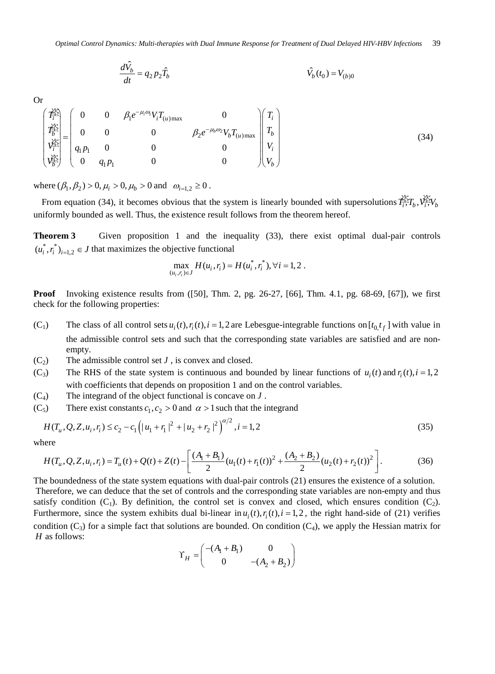$$
\frac{d\hat{V_b}}{dt} = q_2 p_2 \hat{T_b}
$$
  $\hat{V_b}(t_0) = V_{(b)0}$ 

Or

$$
\begin{pmatrix} \vec{P}_{i}^{\underline{2}} \\ \vec{P}_{b}^{\underline{2}} \\ \vec{P}_{b}^{\underline{2}} \\ \vec{P}_{b}^{\underline{2}} \\ \vec{P}_{b}^{\underline{2}} \end{pmatrix} = \begin{pmatrix} 0 & 0 & \beta_{1}e^{-\mu_{i}\omega_{1}}V_{i}T_{(u)max} & 0 \\ 0 & 0 & \beta_{2}e^{-\mu_{b}\omega_{2}}V_{b}T_{(u)max} \\ q_{1}p_{1} & 0 & 0 & 0 \\ 0 & q_{1}p_{1} & 0 & 0 & 0 \end{pmatrix} \begin{pmatrix} T_{i} \\ T_{b} \\ V_{i} \\ V_{b} \end{pmatrix}
$$
\n(34)

where  $(\beta_1, \beta_2) > 0, \mu_i > 0, \mu_b > 0$  and  $\omega_{i=1,2} \ge 0$ .

From equation (34), it becomes obvious that the system is linearly bounded with supersolutions  $\hat{F}_{\tau}^T T_k$ ,  $\hat{V}_{\tau}^T V_k$ uniformly bounded as well. Thus, the existence result follows from the theorem hereof.

**Theorem 3** Given proposition 1 and the inequality (33), there exist optimal dual-pair controls  $(u_i^*, r_i^*)_{i=1,2} \in J$  that maximizes the objective functional

$$
\max_{(u_i, r_i) \in J} H(u_i, r_i) = H(u_i^*, r_i^*), \forall i = 1, 2.
$$

**Proof** Invoking existence results from ([50], Thm. 2, pg. 26-27, [66], Thm. 4.1, pg. 68-69, [67]), we first check for the following properties:

- (C<sub>1</sub>) The class of all control sets  $u_i(t)$ ,  $r_i(t)$ ,  $i = 1,2$  are Lebesgue-integrable functions on  $[t_0, t_f]$  with value in the admissible control sets and such that the corresponding state variables are satisfied and are nonempty.
- $(C_2)$  The admissible control set *J*, is convex and closed.
- (C<sub>3</sub>) The RHS of the state system is continuous and bounded by linear functions of  $u_i(t)$  and  $r_i(t)$ ,  $i = 1,2$ with coefficients that depends on proposition 1 and on the control variables.
- (C4) The integrand of the object functional is concave on *J* .
- (C<sub>5</sub>) There exist constants  $c_1, c_2 > 0$  and  $\alpha > 1$  such that the integrand

$$
H(T_u, Q, Z, u_i, r_i) \le c_2 - c_1 \left( |u_1 + r_1|^2 + |u_2 + r_2|^2 \right)^{\alpha/2}, i = 1, 2
$$
\n(35)

where

$$
H(T_u, Q, Z, u_i, r_i) = T_u(t) + Q(t) + Z(t) - \left[ \frac{(A_1 + B_1)}{2} (u_1(t) + r_1(t))^2 + \frac{(A_2 + B_2)}{2} (u_2(t) + r_2(t))^2 \right].
$$
 (36)

The boundedness of the state system equations with dual-pair controls (21) ensures the existence of a solution. Therefore, we can deduce that the set of controls and the corresponding state variables are non-empty and thus satisfy condition  $(C_1)$ . By definition, the control set is convex and closed, which ensures condition  $(C_2)$ . Furthermore, since the system exhibits dual bi-linear in  $u_i(t)$ ,  $r_i(t)$ ,  $i = 1, 2$ , the right hand-side of (21) verifies condition  $(C_3)$  for a simple fact that solutions are bounded. On condition  $(C_4)$ , we apply the Hessian matrix for *H* as follows:

$$
\Upsilon_H = \begin{pmatrix} -(A_1 + B_1) & 0 \\ 0 & -(A_2 + B_2) \end{pmatrix}
$$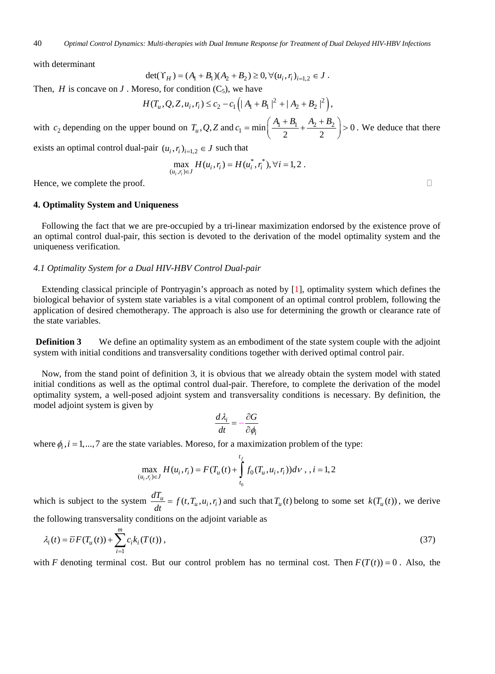with determinant

$$
\det(\Upsilon_H) = (A_1 + B_1)(A_2 + B_2) \ge 0, \forall (u_i, r_i)_{i=1,2} \in J.
$$

Then, *H* is concave on *J* . Moreso, for condition  $(C_5)$ , we have

$$
H(T_u, Q, Z, u_i, r_i) \leq c_2 - c_1 \left( |A_1 + B_1|^2 + |A_2 + B_2|^2 \right),
$$

with  $c_2$  depending on the upper bound on  $T_u$ , Q, Z and  $c_1 = \min\left(\frac{A_1 + B_1}{2} + \frac{A_2 + B_2}{2}\right) > 0$  $c_1 = \min\left(\frac{A_1 + B_1}{2} + \frac{A_2 + B_2}{2}\right) > 0$ . We deduce that there

exists an optimal control dual-pair  $(u_i, r_i)_{i=1,2} \in J$  such that

$$
\max_{(u_i, r_i) \in J} H(u_i, r_i) = H(u_i^*, r_i^*), \forall i = 1, 2.
$$

Hence, we complete the proof.

#### **4. Optimality System and Uniqueness**

Following the fact that we are pre-occupied by a tri-linear maximization endorsed by the existence prove of an optimal control dual-pair, this section is devoted to the derivation of the model optimality system and the uniqueness verification.

#### *4.1 Optimality System for a Dual HIV-HBV Control Dual-pair*

Extending classical principle of Pontryagin's approach as noted by [1], optimality system which defines the biological behavior of system state variables is a vital component of an optimal control problem, following the application of desired chemotherapy. The approach is also use for determining the growth or clearance rate of the state variables.

**Definition 3** We define an optimality system as an embodiment of the state system couple with the adjoint system with initial conditions and transversality conditions together with derived optimal control pair.

Now, from the stand point of definition 3, it is obvious that we already obtain the system model with stated initial conditions as well as the optimal control dual-pair. Therefore, to complete the derivation of the model optimality system, a well-posed adjoint system and transversality conditions is necessary. By definition, the model adjoint system is given by

$$
\frac{d\lambda_i}{dt} = -\frac{\partial G}{\partial \phi_i}
$$

where  $\phi_i$ ,  $i = 1,...,7$  are the state variables. Moreso, for a maximization problem of the type:

$$
\max_{(u_i, r_i) \in J} H(u_i, r_i) = F(T_u(t) + \int_{t_0}^{t_f} f_0(T_u, u_i, r_i)) d\nu, i = 1, 2
$$

which is subject to the system  $\frac{dT_u}{dt} = f(t, T_u, u_i, r_i)$  and such that  $T_u(t)$  belong to some set  $k(T_u(t))$ , we derive

the following transversality conditions on the adjoint variable as

$$
\lambda_i(t) = \overline{U}F(T_u(t)) + \sum_{i=1}^m c_i k_i(T(t)),
$$
\n(37)

with *F* denoting terminal cost. But our control problem has no terminal cost. Then  $F(T(t)) = 0$ . Also, the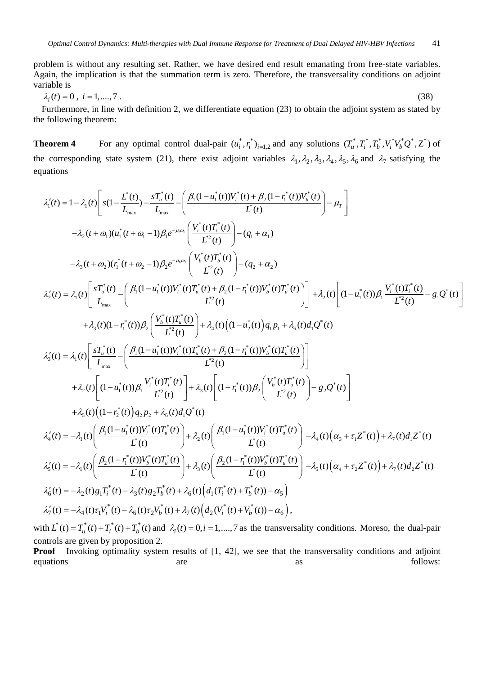problem is without any resulting set. Rather, we have desired end result emanating from free-state variables. Again, the implication is that the summation term is zero. Therefore, the transversality conditions on adjoint variable is

$$
\lambda_i(t) = 0, \ i = 1, \dots, 7 \tag{38}
$$

Furthermore, in line with definition 2, we differentiate equation (23) to obtain the adjoint system as stated by the following theorem:

**Theorem 4** For any optimal control dual-pair  $(u_i^*, r_i^*)_{i=1,2}$  and any solutions  $(T_u^*, T_i^*, T_b^*, V_i^*V_b^*Q^*, Z^*)$  of the corresponding state system (21), there exist adjoint variables  $\lambda_1, \lambda_2, \lambda_3, \lambda_4, \lambda_5, \lambda_6$  and  $\lambda_7$  satisfying the equations

$$
\lambda_{i}^{\prime}(t) = 1 - \lambda_{i}(t) \left[ s(1 - \frac{L^{*}(t)}{L_{max}}) - \frac{sT_{u}^{*}(t)}{L_{max}} - \left( \frac{\beta_{i}(1 - u_{i}^{*}(t))V_{i}^{*}(t) + \beta_{2}(1 - r_{i}^{*}(t))V_{b}^{*}(t)}{L^{*}(t)} \right) - \mu_{r} \right]
$$
\n
$$
- \lambda_{2}(t + \omega_{i})(u_{i}^{*}(t + \omega_{i} - 1)\beta_{i}e^{-\mu_{i}\omega_{i}} \left( \frac{V_{i}^{*}(t)T_{i}^{*}(t)}{L^{2}(t)} \right) - (q_{i} + \alpha_{i})
$$
\n
$$
- \lambda_{3}(t + \omega_{2})(r_{i}^{*}(t + \omega_{2} - 1)\beta_{2}e^{-\mu_{i}\omega_{i}} \left( \frac{V_{b}^{*}(t)T_{b}^{*}(t)}{L^{2}(t)} \right) - (q_{2} + \alpha_{2})
$$
\n
$$
\lambda_{2}^{\prime}(t) = \lambda_{i}(t) \left[ \frac{sT_{u}^{*}(t)}{L_{max}} - \left( \frac{\beta_{i}(1 - u_{i}^{*}(t))V_{i}^{*}(t)T_{u}^{*}(t) + \beta_{2}(1 - r_{i}^{*}(t))V_{b}^{*}(t)T_{u}^{*}(t)}{L^{2}(t)} \right) \right] + \lambda_{2}(t) \left[ (1 - u_{i}^{*}(t))\beta_{i} \frac{V_{i}^{*}(t)T_{i}^{*}(t)}{L^{2}(t)} - g_{i}Q^{*}(t) \right]
$$
\n
$$
+ \lambda_{3}(t)(1 - r_{i}^{*}(t))\beta_{2} \left( \frac{V_{b}^{*}(t)T_{u}^{*}(t)}{L^{2}(t)} \right) + \lambda_{4}(t)\left( (1 - u_{2}^{*}(t))q_{i}p_{i} + \lambda_{6}(t)d_{i}Q^{*}(t) \right)
$$
\n
$$
\lambda_{3}^{\prime}(t) = \lambda_{i}(t) \left[ \frac{sT_{u}^{*}(t)}{L_{max}} - \left( \frac{\beta_{i}(1 - u_{i}^{*}(t))V_{i}^{*}(t)T_{u}^{*}(t)}{L^{2}(t)} \right
$$

with  $L^*(t) = T^*_{u}(t) + T^*_{i}(t) + T^*_{b}(t)$  and  $\lambda_i(t) = 0, i = 1, \dots, 7$  as the transversality conditions. Moreso, the dual-pair controls are given by proposition 2.

**Proof** Invoking optimality system results of [1, 42], we see that the transversality conditions and adjoint equations are are as as follows: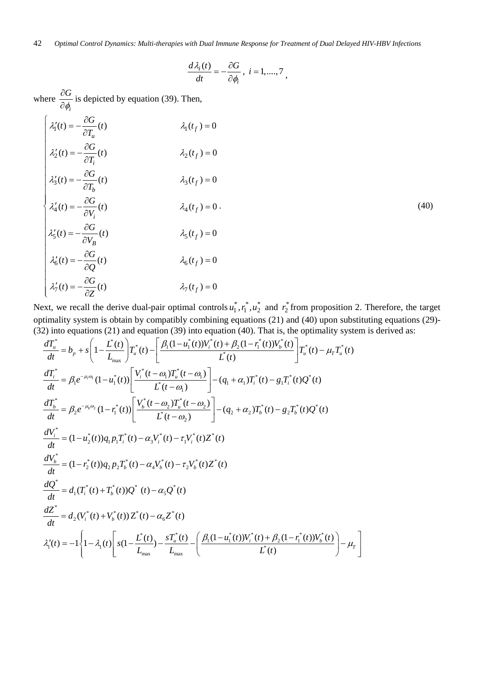42 *Optimal Control Dynamics: Multi-therapies with Dual Immune Response for Treatment of Dual Delayed HIV-HBV Infections*

$$
\frac{d\lambda_i(t)}{dt} = -\frac{\partial G}{\partial \phi_i}, \ i = 1, \dots, 7
$$

where *i G*  $\phi_i$  $\frac{\partial G}{\partial \phi_i}$  is depicted by equation (39). Then,

$$
\begin{cases}\n\lambda_1'(t) = -\frac{\partial G}{\partial T_u}(t) & \lambda_1(t_f) = 0 \\
\lambda_2'(t) = -\frac{\partial G}{\partial T_i}(t) & \lambda_2(t_f) = 0 \\
\lambda_3'(t) = -\frac{\partial G}{\partial T_b}(t) & \lambda_3(t_f) = 0 \\
\lambda_4'(t) = -\frac{\partial G}{\partial V_i}(t) & \lambda_4(t_f) = 0. \\
\lambda_5'(t) = -\frac{\partial G}{\partial V_B}(t) & \lambda_5(t_f) = 0 \\
\lambda_6'(t) = -\frac{\partial G}{\partial Q}(t) & \lambda_6(t_f) = 0 \\
\lambda_7'(t) = -\frac{\partial G}{\partial Z}(t) & \lambda_7(t_f) = 0\n\end{cases}
$$
\n(40)

Next, we recall the derive dual-pair optimal controls  $u_1^*, r_1^*, u_2^*$  and  $r_2^*$  from proposition 2. Therefore, the target optimality system is obtain by compatibly combining equations (21) and (40) upon substituting equations (29)- (32) into equations (21) and equation (39) into equation (40). That is, the optimality system is derived as:

$$
\frac{dT_{u}^{*}}{dt} = b_{p} + s \left( 1 - \frac{L^{*}(t)}{L_{\text{max}}} \right) T_{u}^{*}(t) - \left[ \frac{\beta_{1}(1 - u_{1}^{*}(t))V_{i}^{*}(t) + \beta_{2}(1 - r_{1}^{*}(t))V_{b}^{*}(t)}{L^{*}(t)} \right] T_{u}^{*}(t) - \mu_{T} T_{u}^{*}(t)
$$
\n
$$
\frac{dT_{i}^{*}}{dt} = \beta_{1} e^{-\mu_{i}\omega_{1}} (1 - u_{1}^{*}(t)) \left[ \frac{V_{i}^{*}(t - \omega_{1})T_{u}^{*}(t - \omega_{1})}{L^{*}(t - \omega_{1})} \right] - (q_{1} + \alpha_{1})T_{i}^{*}(t) - g_{1}T_{i}^{*}(t)Q^{*}(t)
$$
\n
$$
\frac{dT_{b}^{*}}{dt} = \beta_{2} e^{-\mu_{b}\omega_{2}} (1 - r_{1}^{*}(t)) \left[ \frac{V_{b}^{*}(t - \omega_{2})T_{u}^{*}(t - \omega_{2})}{L^{*}(t - \omega_{2})} \right] - (q_{2} + \alpha_{2})T_{b}^{*}(t) - g_{2}T_{b}^{*}(t)Q^{*}(t)
$$
\n
$$
\frac{dV_{i}^{*}}{dt} = (1 - u_{2}^{*}(t))q_{1}p_{1}T_{i}^{*}(t) - \alpha_{3}V_{i}^{*}(t) - \tau_{1}V_{i}^{*}(t)Z^{*}(t)
$$
\n
$$
\frac{dV_{b}^{*}}{dt} = d_{1}T_{i}^{*}(t) + T_{b}^{*}(t)Q^{*}(t) - \alpha_{4}Q^{*}(t)
$$
\n
$$
\frac{dQ^{*}}{dt} = d_{1}(T_{i}^{*}(t) + T_{b}^{*}(t))Q^{*}(t) - \alpha_{5}Q^{*}(t)
$$
\n
$$
\frac{dZ^{*}}{dt} = d_{2}(V_{i}^{*}(t) + V_{b}^{*}(t))Z^{*}(t) - \alpha_{6}Z^{*}(t)
$$
\n
$$
\lambda_{1}^{\prime}(t) = -1 \left\{ 1 - \lambda_{1}(t) \left[ s(1 - \frac{L^{*}(t)}{L_{\text{
$$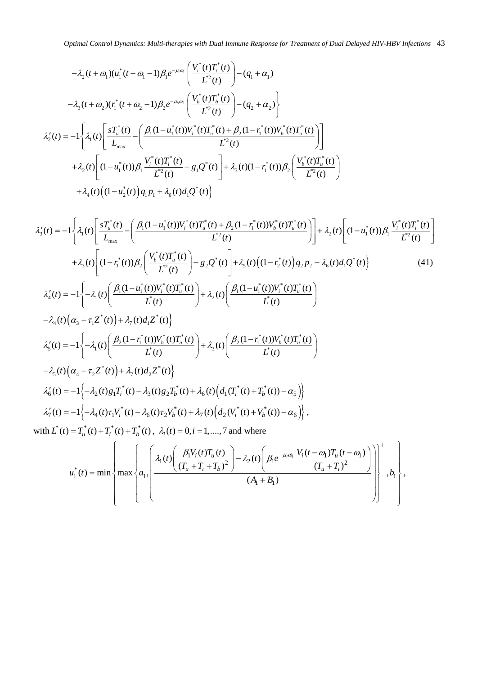$$
-\lambda_{2}(t+\omega_{1})(u_{1}^{*}(t+\omega_{1}-1)\beta_{1}e^{-\mu_{i}\omega_{i}}\left(\frac{V_{i}^{*}(t)T_{i}^{*}(t)}{L^{2}(t)}\right)-\left(q_{1}+\alpha_{1}\right)
$$
\n
$$
-\lambda_{3}(t+\omega_{2})(r_{1}^{*}(t+\omega_{2}-1)\beta_{2}e^{-\mu_{b}\omega_{2}}\left(\frac{V_{b}^{*}(t)T_{b}^{*}(t)}{L^{2}(t)}\right)-\left(q_{2}+\alpha_{2}\right)\right\}
$$
\n
$$
\lambda_{2}'(t) = -1\left\{\lambda_{1}(t)\left[\frac{sT_{u}^{*}(t)}{L_{\max}} - \left(\frac{\beta_{1}(1-u_{1}^{*}(t))V_{i}^{*}(t)T_{u}^{*}(t) + \beta_{2}(1-r_{1}^{*}(t))V_{b}^{*}(t)T_{u}^{*}(t)}{L^{2}(t)}\right)\right]
$$
\n
$$
+\lambda_{2}(t)\left[(1-u_{1}^{*}(t))\beta_{1}\frac{V_{i}^{*}(t)T_{i}^{*}(t)}{L^{2}(t)} - g_{1}\mathcal{Q}^{*}(t)\right] + \lambda_{3}(t)(1-r_{1}^{*}(t))\beta_{2}\left(\frac{V_{b}^{*}(t)T_{u}^{*}(t)}{L^{2}(t)}\right)
$$
\n
$$
+\lambda_{4}(t)\left((1-u_{2}^{*}(t))q_{1}p_{1}+\lambda_{6}(t)d_{1}\mathcal{Q}^{*}(t)\right\}
$$

$$
\lambda'_{3}(t) = -1 \left\{ \lambda_{1}(t) \left[ \frac{sT_{u}^{*}(t)}{L_{\max}} - \left( \frac{\beta_{1}(1-u_{1}^{*}(t))V_{i}^{*}(t)T_{u}^{*}(t) + \beta_{2}(1-r_{1}^{*}(t))V_{b}^{*}(t)T_{u}^{*}(t)}{L^{2}(t)} \right) \right] + \lambda_{2}(t) \left[ (1-u_{1}^{*}(t))\beta_{1} \frac{V_{i}^{*}(t)T_{i}^{*}(t)}{L^{2}(t)} \right] \n+ \lambda_{3}(t) \left[ (1-r_{1}^{*}(t))\beta_{2} \left( \frac{V_{b}^{*}(t)T_{u}^{*}(t)}{L^{2}(t)} \right) - g_{2}Q^{*}(t) \right] + \lambda_{3}(t) \left( (1-r_{2}^{*}(t))q_{2}p_{2} + \lambda_{6}(t)d_{1}Q^{*}(t) \right\} \tag{41}
$$
\n
$$
\lambda'_{4}(t) = -1 \left\{ -\lambda_{1}(t) \left( \frac{\beta_{1}(1-u_{1}^{*}(t))V_{i}^{*}(t)T_{u}^{*}(t)}{L^{*}(t)} \right) + \lambda_{2}(t) \left( \frac{\beta_{1}(1-u_{1}^{*}(t))V_{i}^{*}(t)T_{u}^{*}(t)}{L^{*}(t)} \right) \right.
$$
\n
$$
-\lambda_{4}(t) \left( \alpha_{3} + \tau_{1}Z^{*}(t) \right) + \lambda_{7}(t)d_{1}Z^{*}(t) \right\}
$$
\n
$$
\lambda'_{5}(t) = -1 \left\{ -\lambda_{1}(t) \left( \frac{\beta_{2}(1-r_{1}^{*}(t))V_{b}^{*}(t)T_{u}^{*}(t)}{L^{*}(t)} \right) + \lambda_{3}(t) \left( \frac{\beta_{2}(1-r_{1}^{*}(t))V_{b}^{*}(t)T_{u}^{*}(t)}{L^{*}(t)} \right) \right\}
$$
\n
$$
-\lambda_{5}(t) \left( \alpha_{4} + \tau_{2}Z^{*}(t) \right) + \lambda_{7}(t)d_{2}Z^{*}(t) \right\}
$$
\n
$$
\lambda'_{6}(t) = -1 \left\{ -\lambda_{2}(t)g_{1}T_{i}^{
$$

with  $\overline{L}^*(t) = T_u^*(t) + T_i^*(t) + T_b^*(t)$ ,  $\lambda_i(t) = 0, i = 1, \dots, 7$  and where

$$
u_1^*(t) = \min\left\{\max\left\{a_1, \left(\frac{\lambda_1(t)\left(\frac{\beta_1 V_i(t)T_u(t)}{(T_u + T_i + T_b)^2}\right) - \lambda_2(t)\left(\frac{\beta_1 e^{-\mu_i \omega_i} V_i(t - \omega_1)T_u(t - \omega_1)}{(T_u + T_i)^2}\right)\right)\right\}^+, b_1\right\},\right\}
$$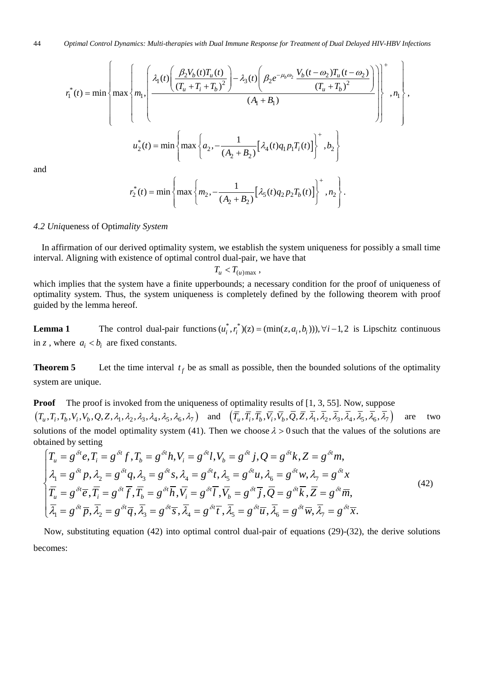$$
r_1^*(t) = \min\left\{\max\left\{m_1, \left(\frac{\lambda_1(t)\left(\frac{\beta_2 V_b(t)T_u(t)}{(T_u + T_i + T_b)^2}\right) - \lambda_3(t)\left(\beta_2 e^{-\mu_b \omega_2} \frac{V_b(t - \omega_2)T_u(t - \omega_2)}{(T_u + T_b)^2}\right)\right)\right\}^+, n_1\right\},\
$$

$$
u_2^*(t) = \min\left\{\max\left\{a_2, -\frac{1}{(A_2 + B_2)}[\lambda_4(t)q_1 p_1 T_i(t)]\right\}^+, b_2\right\}
$$

$$
r_2^*(t) = \min\left\{\max\left\{m_2, -\frac{1}{(A_2 + B_2)}[\lambda_5(t)q_2 p_2 T_b(t)]\right\}^+, n_2\right\}.
$$

and

*4.2 Uniq*ueness of Opti*mality System*

In affirmation of our derived optimality system, we establish the system uniqueness for possibly a small time interval. Aligning with existence of optimal control dual-pair, we have that

 $T_u < T_{(u) \text{max}}$ ,

which implies that the system have a finite upperbounds; a necessary condition for the proof of uniqueness of optimality system. Thus, the system uniqueness is completely defined by the following theorem with proof guided by the lemma hereof.

**Lemma 1** The control dual-pair functions  $(u_i^*, r_i^*)(z) = (\min(z, a_i, b_i))$ ,  $\forall i - 1, 2$  is Lipschitz continuous in *z*, where  $a_i < b_i$  are fixed constants.

**Theorem 5** Let the time interval  $t_f$  be as small as possible, then the bounded solutions of the optimality system are unique.

**Proof** The proof is invoked from the uniqueness of optimality results of [1, 3, 55]. Now, suppose  $(T_u, T_i, T_b, V_i, V_b, Q, Z, \lambda_1, \lambda_2, \lambda_3, \lambda_4, \lambda_5, \lambda_6, \lambda_7)$  and  $(\overline{T}_u, \overline{T}_i, \overline{T}_b, \overline{V}_i, \overline{V}_b, \overline{Q}, \overline{Z}, \overline{\lambda_1}, \overline{\lambda_2}, \overline{\lambda_3}, \overline{\lambda_4}, \overline{\lambda_5}, \overline{\lambda_6}, \overline{\lambda_7})$  are two solutions of the model optimality system (41). Then we choose  $\lambda > 0$  such that the values of the solutions are obtained by setting

$$
\begin{cases}\nT_u = g^{\delta t}e, T_i = g^{\delta t}f, T_b = g^{\delta t}h, V_i = g^{\delta t}l, V_b = g^{\delta t}j, Q = g^{\delta t}k, Z = g^{\delta t}m, \\
\lambda_1 = g^{\delta t}p, \lambda_2 = g^{\delta t}q, \lambda_3 = g^{\delta t}s, \lambda_4 = g^{\delta t}t, \lambda_5 = g^{\delta t}u, \lambda_6 = g^{\delta t}w, \lambda_7 = g^{\delta t}x \\
\overline{T}_u = g^{\delta t}\overline{e}, \overline{T}_i = g^{\delta t}\overline{f}, \overline{T}_b = g^{\delta t}\overline{h}, \overline{V}_i = g^{\delta t}\overline{l}, \overline{V}_b = g^{\delta t}\overline{j}, \overline{Q} = g^{\delta t}\overline{k}, \overline{Z} = g^{\delta t}\overline{m}, \\
\overline{\lambda}_1 = g^{\delta t}\overline{p}, \overline{\lambda}_2 = g^{\delta t}\overline{q}, \overline{\lambda}_3 = g^{\delta t}\overline{s}, \overline{\lambda}_4 = g^{\delta t}\overline{t}, \overline{\lambda}_5 = g^{\delta t}\overline{u}, \overline{\lambda}_6 = g^{\delta t}\overline{w}, \overline{\lambda}_7 = g^{\delta t}\overline{x}.\n\end{cases} (42)
$$

Now, substituting equation (42) into optimal control dual-pair of equations (29)-(32), the derive solutions becomes: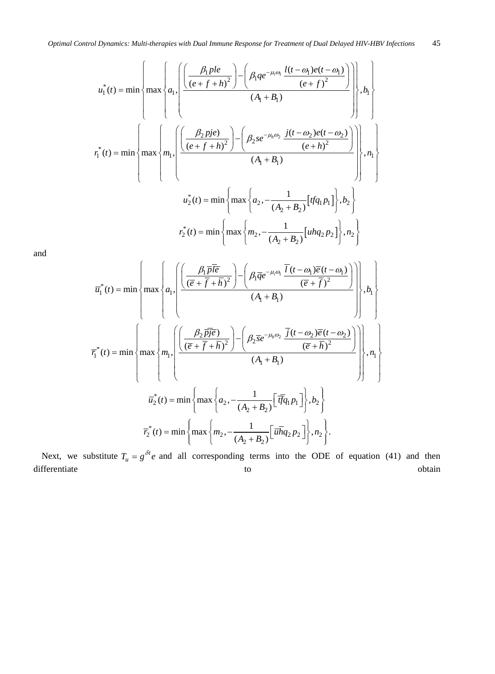$$
u_1^*(t) = \min\left\{\max\left\{a_1, \left(\frac{\left(\frac{\beta_1 p le}{(e+f+h)^2}\right) - \left(\beta_1 q e^{-\mu_i \omega_1} \frac{l(t-\omega_1) e(t-\omega_1)}{(e+f)^2}\right)\right)}{(A_1 + B_1)}\right\}, b_1\right\}
$$
  

$$
r_1^*(t) = \min\left\{\max\left\{m_1, \left(\frac{\left(\frac{\beta_2 p je}{(e+f+h)^2}\right) - \left(\beta_2 s e^{-\mu_i \omega_2} \frac{j(t-\omega_2) e(t-\omega_2)}{(e+h)^2}\right)\right)}{(A_1 + B_1)}\right\}, n_1\right\}
$$
  

$$
u_2^*(t) = \min\left\{\max\left\{a_2, -\frac{1}{(A_2 + B_2)}[tfq_1 p_1]\right\}, b_2\right\}
$$
  

$$
r_2^*(t) = \min\left\{\max\left\{m_2, -\frac{1}{(A_2 + B_2)}[uhq_2 p_2]\right\}, n_2\right\}
$$

and

$$
\overline{u}_{1}^{*}(t) = \min\left\{\max\left\{a_{1}, \frac{\left(\frac{\beta_{1}\overline{p}\overline{l}\overline{e}}{(\overline{e}+\overline{f}+\overline{h})^{2}}\right)-\left(\beta_{1}\overline{q}e^{-\mu_{i}\omega_{1}}\frac{\overline{l}(t-\omega_{1})\overline{e}(t-\omega_{1})}{(\overline{e}+\overline{f})^{2}}\right)}{(\overline{A}_{1}+\overline{B}_{1})}\right\}, b_{1}\right\}
$$
\n
$$
\overline{r}_{1}^{*}(t) = \min\left\{\max\left\{m_{1}, \frac{\left(\frac{\beta_{2}\overline{p}\overline{j}\overline{e}}{(\overline{e}+\overline{f}+\overline{h})^{2}}\right)-\left(\beta_{2}\overline{se}^{-\mu_{b}\omega_{2}}\frac{\overline{j}(t-\omega_{2})\overline{e}(t-\omega_{2})}{(\overline{e}+\overline{h})^{2}}\right)}{(\overline{A}_{1}+\overline{B}_{1})}\right\}, n_{1}\right\}
$$
\n
$$
\overline{u}_{2}^{*}(t) = \min\left\{\max\left\{a_{2}, -\frac{1}{(A_{2}+B_{2})}\left[\overline{t}\overline{t}q_{1}p_{1}\right]\right\}, b_{2}\right\}
$$
\n
$$
\overline{r}_{2}^{*}(t) = \min\left\{\max\left\{m_{2}, -\frac{1}{(A_{2}+B_{2})}\left[\overline{u}\overline{h}q_{2}p_{2}\right]\right\}, n_{2}\right\}.
$$

Next, we substitute  $T_u = g^{\delta t} e$  and all corresponding terms into the ODE of equation (41) and then differentiate to to obtain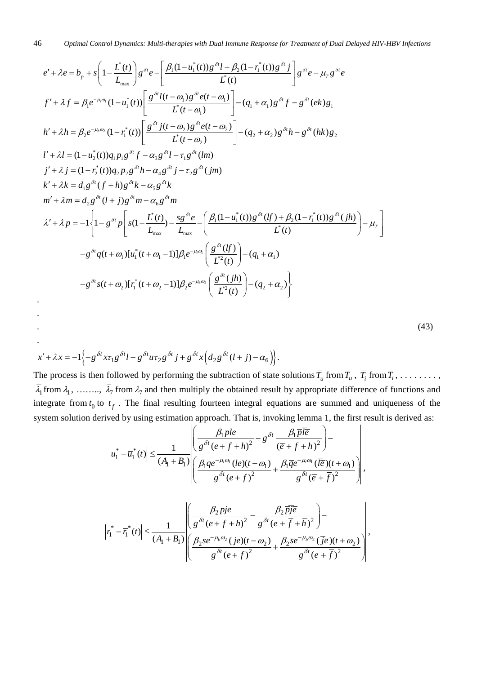$$
e' + \lambda e = b_p + s \left( 1 - \frac{L^*(t)}{L_{\text{max}}} \right) g^{\delta i} e - \left[ \frac{\beta_1 (1 - u_1^*(t)) g^{\delta i} l + \beta_2 (1 - r_1^*(t)) g^{\delta i} j}{L^*(t)} \right] g^{\delta i} e - \mu_T g^{\delta i} e
$$
  
\n
$$
f' + \lambda f = \beta_1 e^{-\mu_i \omega_i} (1 - u_1^*(t)) \left[ \frac{g^{\delta i} l(t - \omega_i) g^{\delta i} e(t - \omega_i)}{L^*(t - \omega_i)} \right] - (q_1 + \alpha_i) g^{\delta i} f - g^{\delta i} (ek) g_1
$$
  
\n
$$
h' + \lambda h = \beta_2 e^{-\mu_i \omega_2} (1 - r_1^*(t)) \left[ \frac{g^{\delta i} j(t - \omega_2) g^{\delta i} e(t - \omega_2)}{L^*(t - \omega_2)} \right] - (q_2 + \alpha_2) g^{\delta i} h - g^{\delta i} (hk) g_2
$$
  
\n
$$
l' + \lambda l = (1 - u_2^*(t)) q_1 p_1 g^{\delta i} f - \alpha_3 g^{\delta i} l - \tau_1 g^{\delta i} (lm)
$$
  
\n
$$
j' + \lambda j = (1 - r_2^*(t)) q_2 p_2 g^{\delta i} h - \alpha_4 g^{\delta i} j - \tau_2 g^{\delta i} (jm)
$$
  
\n
$$
k' + \lambda k = d_1 g^{\delta i} (f + h) g^{\delta i} k - \alpha_5 g^{\delta i} k
$$
  
\n
$$
m' + \lambda m = d_2 g^{\delta i} (l + j) g^{\delta i} m - \alpha_6 g^{\delta i} m
$$
  
\n
$$
\lambda' + \lambda p = -1 \left\{ 1 - g^{\delta i} p \left[ s(1 - \frac{L^*(t)}{L_{\text{max}}} - \frac{g^{\delta i} e}{L_{\text{max}}} - \left( \frac{\beta_1 (1 - u_1^*(t)) g^{\delta i} (lf) + \beta_2 (1 - r_1^*(t)) g^{\delta i} (jh)}{L^*(t)} \right) - \mu_T \right] - g^{\delta i} g(t + \omega_1) [u
$$

$$
(43)
$$

,

$$
x' + \lambda x = -1 \Big\{ -g^{\delta t} x \tau_1 g^{\delta t} l - g^{\delta t} u \tau_2 g^{\delta t} j + g^{\delta t} x \Big( d_2 g^{\delta t} (l+j) - \alpha_6 \Big) \Big\}.
$$

. . . .

The process is then followed by performing the subtraction of state solutions  $\overline{T}_u$  from  $T_u$ ,  $\overline{T}_i$  from  $T_i$ , . . . . . . . . .  $\overline{\lambda}_1$  from  $\lambda_1$ , …….,  $\overline{\lambda}_7$  from  $\lambda_7$  and then multiply the obtained result by appropriate difference of functions and integrate from  $t_0$  to  $t_f$ . The final resulting fourteen integral equations are summed and uniqueness of the system solution derived by using estimation approach. That is, invoking lemma 1, the first result is derived as:

$$
\left| u_1^* - \overline{u}_1^*(t) \right| \leq \frac{1}{(A_1 + B_1)} \left| \frac{\left( \frac{\beta_1 p l e}{g^{\delta t} (e + f + h)^2} - g^{\delta t} \frac{\beta_1 \overline{p} \overline{l e}}{(e + \overline{f} + \overline{h})^2} \right) - \left( \frac{\beta_1 q e^{-\mu_i \omega_i} (l e)(t - \omega_1)}{g^{\delta t} (e + f)^2} + \frac{\beta_1 \overline{q} e^{-\mu_i \omega_i} (\overline{l e})(t + \omega_1)}{g^{\delta t} (\overline{e} + \overline{f})^2} \right) \right|
$$

$$
\left| r_1^* - \overline{r_1}^*(t) \right| \leq \frac{1}{(A_1 + B_1)} \left| \frac{\left( \frac{\beta_2 p_1^*}{g^{\delta t} (e + f + h)^2} - \frac{\beta_2 \overline{p_1^*} \overline{e}}{g^{\delta t} (\overline{e} + \overline{f} + \overline{h})^2} \right) - \left( \frac{\beta_2 s e^{-\mu_b \omega_2} (j e)(t - \omega_2)}{g^{\delta t} (e + f)^2} + \frac{\beta_2 \overline{s} e^{-\mu_b \omega_2} (\overline{j} \overline{e})(t + \omega_2)}{g^{\delta t} (\overline{e} + \overline{f})^2} \right) \right|,
$$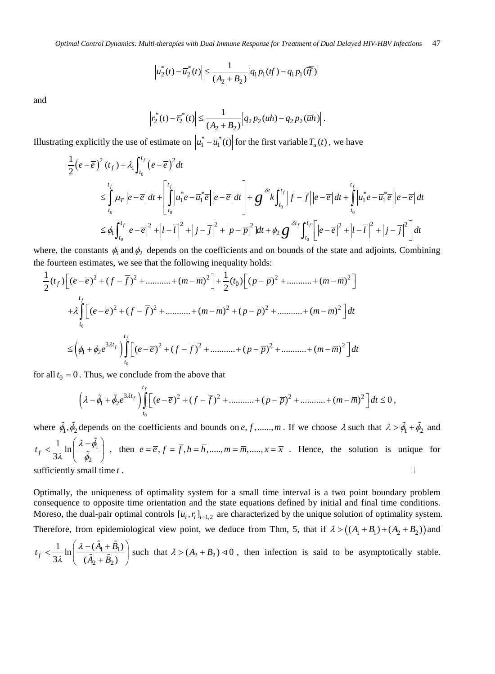$$
\left|u_2^*(t) - \overline{u}_2^*(t)\right| \le \frac{1}{(A_2 + B_2)} \left|q_1 p_1(t) - q_1 p_1(\overline{t})\right|
$$

and

$$
\left| r_2^*(t) - \overline{r}_2^*(t) \right| \le \frac{1}{(A_2 + B_2)} \left| q_2 p_2(uh) - q_2 p_2(\overline{uh}) \right|.
$$

Illustrating explicitly the use of estimate on  $u_1^* - \overline{u}_1^*(t)$  for the first variable  $T_u(t)$ , we have

$$
\frac{1}{2}(e-\overline{e})^{2}(t_{f}) + \lambda_{1} \int_{t_{0}}^{t_{f}} (e-\overline{e})^{2} dt
$$
\n
$$
\leq \int_{t_{0}}^{t_{f}} \mu_{T} |e-\overline{e}| dt + \left[ \int_{t_{0}}^{t_{f}} \left| u_{1}^{*}e - \overline{u}_{1}^{*} \overline{e} \right| |e-\overline{e}| dt \right] + g^{\delta t} \int_{t_{0}}^{t_{f}} |f-\overline{f}| |e-\overline{e}| dt + \int_{t_{0}}^{t_{f}} \left| u_{1}^{*}e - \overline{u}_{1}^{*} \overline{e} \right| |e-\overline{e}| dt
$$
\n
$$
\leq \phi_{1} \int_{t_{0}}^{t_{f}} |e-\overline{e}|^{2} + |I-\overline{I}|^{2} + |j-\overline{j}|^{2} + |p-\overline{p}|^{2} dt + \phi_{2} g^{\delta t_{f}} \int_{t_{0}}^{t_{f}} \left[ |e-\overline{e}|^{2} + |I-\overline{I}|^{2} + |j-\overline{j}|^{2} \right] dt
$$

where, the constants  $\phi_1$  and  $\phi_2$  depends on the coefficients and on bounds of the state and adjoints. Combining the fourteen estimates, we see that the following inequality holds:

$$
\frac{1}{2}(t_f)\left[ (e-\overline{e})^2 + (f-\overline{f})^2 + \dots + (m-\overline{m})^2 \right] + \frac{1}{2}(t_0)\left[ (p-\overline{p})^2 + \dots + (m-\overline{m})^2 \right]
$$
  
+  $\lambda \int_{t_0}^{t_f} \left[ (e-\overline{e})^2 + (f-\overline{f})^2 + \dots + (m-\overline{m})^2 + (p-\overline{p})^2 + \dots + (m-\overline{m})^2 \right] dt$   
 $\leq \left(\phi_1 + \phi_2 e^{3\lambda t_f}\right) \int_{t_0}^{t_f} \left[ (e-\overline{e})^2 + (f-\overline{f})^2 + \dots + (p-\overline{p})^2 + \dots + (m-\overline{m})^2 \right] dt$ 

for all  $t_0 = 0$ . Thus, we conclude from the above that

$$
\left(\lambda-\tilde{\phi}_1+\tilde{\phi}_2e^{3\lambda t_f}\right)\int_{t_0}^{t_f}\left[(e-\overline{e})^2+(f-\overline{f})^2+\dots+(p-\overline{p})^2+\dots+(m-\overline{m})^2\right]dt\leq 0\,,
$$

where  $\tilde{\phi}_1, \tilde{\phi}_2$  depends on the coefficients and bounds on *e*, f,...,.., *m*. If we choose  $\lambda$  such that  $\lambda > \tilde{\phi}_1 + \tilde{\phi}_2$  and 1  $\overline{c}$  $t_f < \frac{1}{3\lambda} \ln \left( \frac{\lambda - \tilde{\phi_1}}{\tilde{\phi_2}} \right)$  $\frac{\varphi_1}{\varphi_2}$ , then  $e = \overline{e}$ ,  $f = f$ ,  $h = h$ ,....,  $m = \overline{m}$ ,....,  $x = \overline{x}$ . Hence, the solution is unique for sufficiently small time  $t$ .

Optimally, the uniqueness of optimality system for a small time interval is a two point boundary problem consequence to opposite time orientation and the state equations defined by initial and final time conditions. Moreso, the dual-pair optimal controls  $[u_i, r_i]_{i=1,2}$  are characterized by the unique solution of optimality system.

Therefore, from epidemiological view point, we deduce from Thm, 5, that if  $\lambda > ((A_1 + B_1) + (A_2 + B_2))$  and

$$
t_f < \frac{1}{3\lambda} \ln \left( \frac{\lambda - (\tilde{A}_1 + \tilde{B}_1)}{(\tilde{A}_2 + \tilde{B}_2)} \right)
$$
 such that  $\lambda > (A_2 + B_2) \triangleleft 0$ , then infection is said to be asymptotically stable.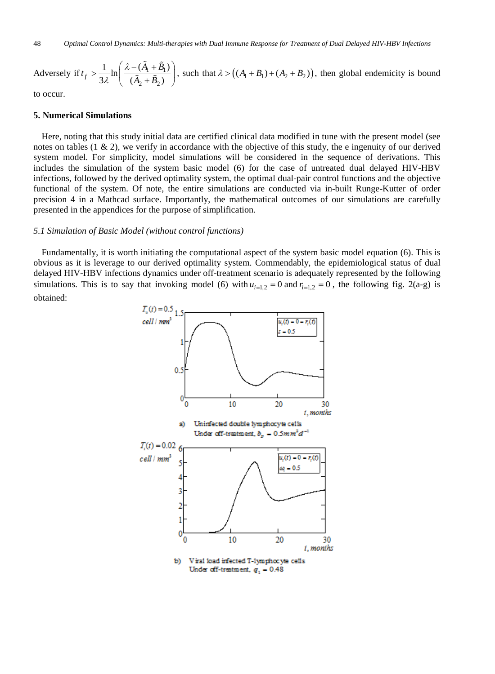Adversely if  $t_f > \frac{1}{24} \ln \left| \frac{\lambda - (A_1 + B_1)}{\lambda - (A_1 + B_1)} \right|$  $2 + \nu_2$  $\frac{1}{\ln \ln \left( \frac{\lambda - (A_1 + B_1)}{\lambda} \right)}$  $f \sim \frac{1}{3\lambda}$   $\ln\left(\frac{\tilde{A}_2 + \tilde{B}_2}{\tilde{A}_2 + \tilde{B}_2}\right)$  $t_f > \frac{1}{2\pi} \ln \left( \frac{\lambda - (A_1 + B_1)}{2\pi \lambda} \right)$  $A_2 + B$ λ λ  $>\frac{1}{3\lambda}\ln\left(\frac{\lambda-(\tilde{A}_1+\tilde{B}_1)}{(\tilde{A}_2+\tilde{B}_2)}\right)$  $\widetilde{\mathrm{A}}_{i}+\widetilde{\mathrm{B}}_{i}$  $\left(\frac{(A_1 + B_1)}{A_2 + B_2}\right)$ , such that  $\lambda > ((A_1 + B_1) + (A_2 + B_2))$ , then global endemicity is bound

to occur.

#### **5. Numerical Simulations**

Here, noting that this study initial data are certified clinical data modified in tune with the present model (see notes on tables  $(1 \& 2)$ , we verify in accordance with the objective of this study, the e ingenuity of our derived system model. For simplicity, model simulations will be considered in the sequence of derivations. This includes the simulation of the system basic model (6) for the case of untreated dual delayed HIV-HBV infections, followed by the derived optimality system, the optimal dual-pair control functions and the objective functional of the system. Of note, the entire simulations are conducted via in-built Runge-Kutter of order precision 4 in a Mathcad surface. Importantly, the mathematical outcomes of our simulations are carefully presented in the appendices for the purpose of simplification.

#### *5.1 Simulation of Basic Model (without control functions)*

Fundamentally, it is worth initiating the computational aspect of the system basic model equation (6). This is obvious as it is leverage to our derived optimality system. Commendably, the epidemiological status of dual delayed HIV-HBV infections dynamics under off-treatment scenario is adequately represented by the following simulations. This is to say that invoking model (6) with  $u_{i=1,2} = 0$  and  $r_{i=1,2} = 0$ , the following fig. 2(a-g) is obtained:

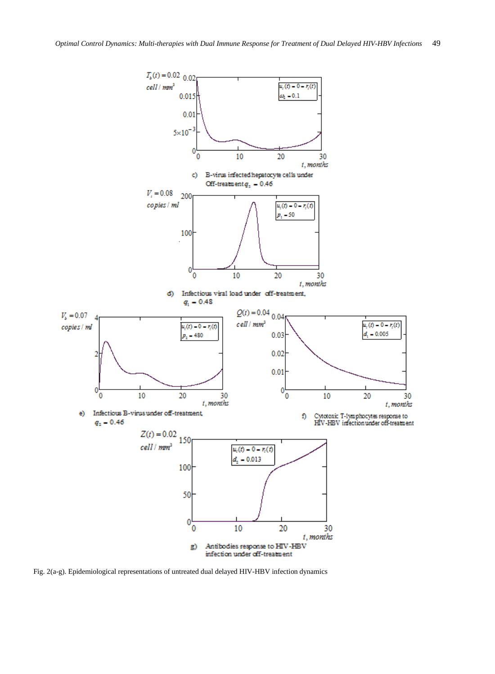

Fig. 2(a-g). Epidemiological representations of untreated dual delayed HIV-HBV infection dynamics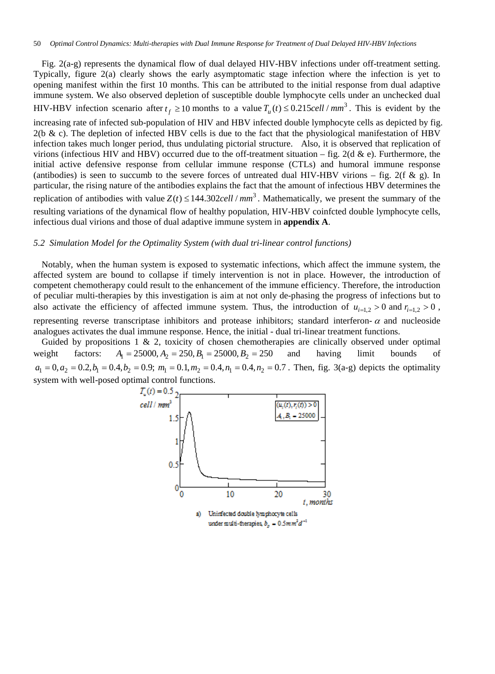Fig. 2(a-g) represents the dynamical flow of dual delayed HIV-HBV infections under off-treatment setting. Typically, figure 2(a) clearly shows the early asymptomatic stage infection where the infection is yet to opening manifest within the first 10 months. This can be attributed to the initial response from dual adaptive immune system. We also observed depletion of susceptible double lymphocyte cells under an unchecked dual HIV-HBV infection scenario after  $t_f \ge 10$  months to a value  $T_u(t) \le 0.215$ cell /  $mm^3$ . This is evident by the increasing rate of infected sub-population of HIV and HBV infected double lymphocyte cells as depicted by fig.  $2(b \& c)$ . The depletion of infected HBV cells is due to the fact that the physiological manifestation of HBV infection takes much longer period, thus undulating pictorial structure. Also, it is observed that replication of virions (infectious HIV and HBV) occurred due to the off-treatment situation – fig. 2(d & e). Furthermore, the initial active defensive response from cellular immune response (CTLs) and humoral immune response (antibodies) is seen to succumb to the severe forces of untreated dual HIV-HBV virions – fig. 2(f & g). In particular, the rising nature of the antibodies explains the fact that the amount of infectious HBV determines the replication of antibodies with value  $Z(t) \leq 144.302 \text{cell}/\text{mm}^3$ . Mathematically, we present the summary of the resulting variations of the dynamical flow of healthy population, HIV-HBV coinfcted double lymphocyte cells, infectious dual virions and those of dual adaptive immune system in **appendix A**.

#### *5.2 Simulation Model for the Optimality System (with dual tri-linear control functions)*

Notably, when the human system is exposed to systematic infections, which affect the immune system, the affected system are bound to collapse if timely intervention is not in place. However, the introduction of competent chemotherapy could result to the enhancement of the immune efficiency. Therefore, the introduction of peculiar multi-therapies by this investigation is aim at not only de-phasing the progress of infections but to also activate the efficiency of affected immune system. Thus, the introduction of  $u_{i=1,2} > 0$  and  $r_{i=1,2} > 0$ , representing reverse transcriptase inhibitors and protease inhibitors; standard interferon- $\alpha$  and nucleoside analogues activates the dual immune response. Hence, the initial - dual tri-linear treatment functions.

Guided by propositions 1 & 2, toxicity of chosen chemotherapies are clinically observed under optimal weight factors:  $A_1 = 25000, A_2 = 250, B_1 = 25000, B_2 = 250$  and having limit bounds of  $a_1 = 0, a_2 = 0.2, b_1 = 0.4, b_2 = 0.9; m_1 = 0.1, m_2 = 0.4, n_1 = 0.4, n_2 = 0.7$ . Then, fig. 3(a-g) depicts the optimality system with well-posed optimal control functions.

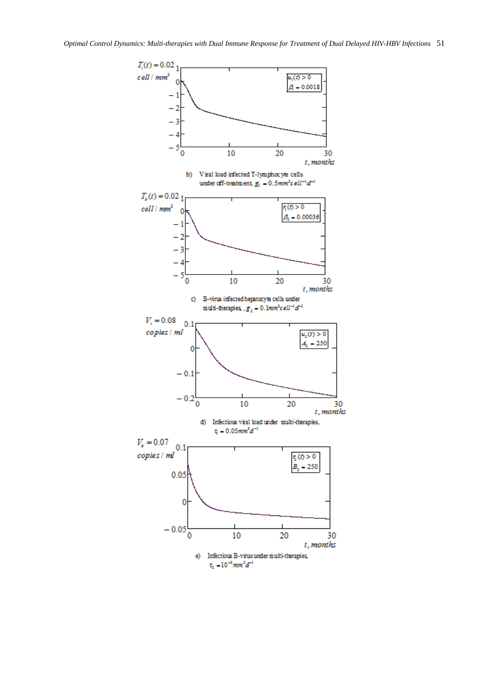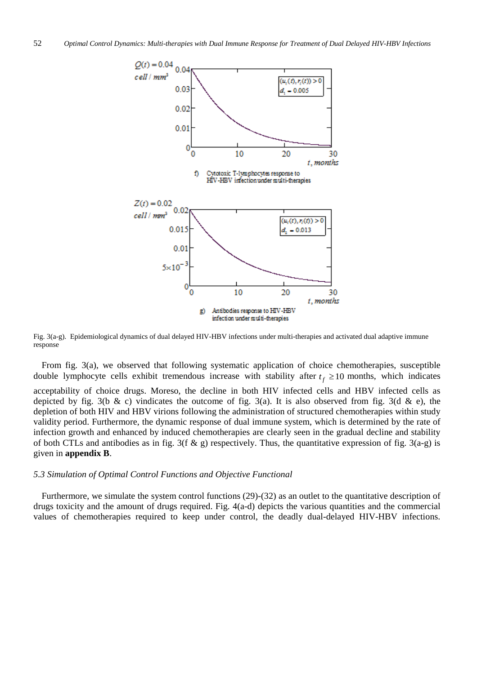

Fig. 3(a-g). Epidemiological dynamics of dual delayed HIV-HBV infections under multi-therapies and activated dual adaptive immune response

From fig. 3(a), we observed that following systematic application of choice chemotherapies, susceptible double lymphocyte cells exhibit tremendous increase with stability after  $t_f \ge 10$  months, which indicates acceptability of choice drugs. Moreso, the decline in both HIV infected cells and HBV infected cells as depicted by fig. 3(b & c) vindicates the outcome of fig. 3(a). It is also observed from fig. 3(d & e), the depletion of both HIV and HBV virions following the administration of structured chemotherapies within study validity period. Furthermore, the dynamic response of dual immune system, which is determined by the rate of infection growth and enhanced by induced chemotherapies are clearly seen in the gradual decline and stability of both CTLs and antibodies as in fig. 3(f & g) respectively. Thus, the quantitative expression of fig. 3(a-g) is given in **appendix B**.

#### *5.3 Simulation of Optimal Control Functions and Objective Functional*

Furthermore, we simulate the system control functions (29)-(32) as an outlet to the quantitative description of drugs toxicity and the amount of drugs required. Fig. 4(a-d) depicts the various quantities and the commercial values of chemotherapies required to keep under control, the deadly dual-delayed HIV-HBV infections.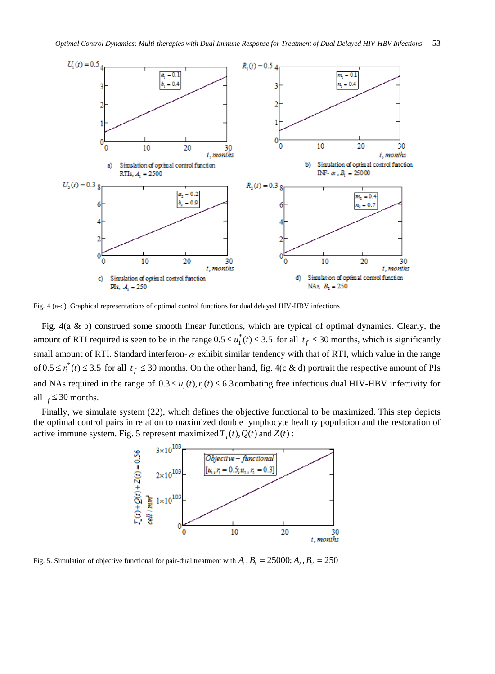

Fig. 4 (a-d) Graphical representations of optimal control functions for dual delayed HIV-HBV infections

Fig. 4(a & b) construed some smooth linear functions, which are typical of optimal dynamics. Clearly, the amount of RTI required is seen to be in the range  $0.5 \le u_1^*(t) \le 3.5$  for all  $t_f \le 30$  months, which is significantly small amount of RTI. Standard interferon- $\alpha$  exhibit similar tendency with that of RTI, which value in the range of  $0.5 \le r_1^*(t) \le 3.5$  for all  $t_f \le 30$  months. On the other hand, fig. 4(c & d) portrait the respective amount of PIs and NAs required in the range of  $0.3 \le u_i(t)$ ,  $r_i(t) \le 6.3$  combating free infectious dual HIV-HBV infectivity for all  $_f \leq 30$  months.

Finally, we simulate system (22), which defines the objective functional to be maximized. This step depicts the optimal control pairs in relation to maximized double lymphocyte healthy population and the restoration of active immune system. Fig. 5 represent maximized  $T_u(t)$ ,  $Q(t)$  and  $Z(t)$ :



Fig. 5. Simulation of objective functional for pair-dual treatment with  $A_1$ ,  $B_1 = 25000$ ;  $A_2$ ,  $B_2 = 2500$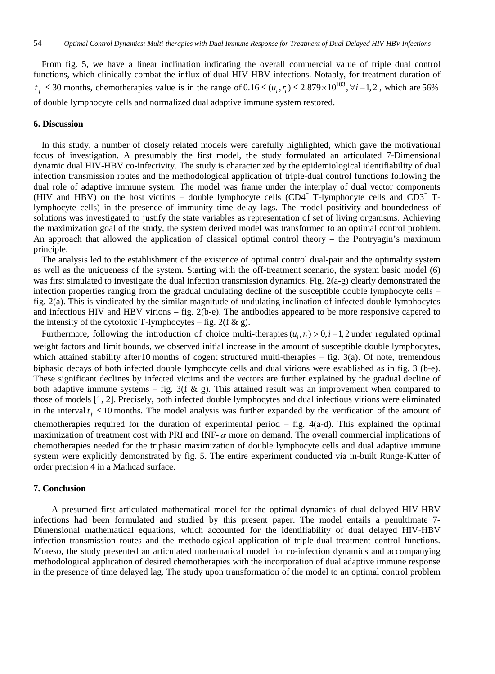From fig. 5, we have a linear inclination indicating the overall commercial value of triple dual control functions, which clinically combat the influx of dual HIV-HBV infections. Notably, for treatment duration of  $t_f$  ≤ 30 months, chemotherapies value is in the range of  $0.16 \leq (u_i, r_i) \leq 2.879 \times 10^{103}$ ,  $\forall i$  –1, 2, which are 56% of double lymphocyte cells and normalized dual adaptive immune system restored.

#### **6. Discussion**

In this study, a number of closely related models were carefully highlighted, which gave the motivational focus of investigation. A presumably the first model, the study formulated an articulated 7-Dimensional dynamic dual HIV-HBV co-infectivity. The study is characterized by the epidemiological identifiability of dual infection transmission routes and the methodological application of triple-dual control functions following the dual role of adaptive immune system. The model was frame under the interplay of dual vector components (HIV and HBV) on the host victims – double lymphocyte cells (CD4<sup>+</sup> T-lymphocyte cells and CD3<sup>+</sup> Tlymphocyte cells) in the presence of immunity time delay lags. The model positivity and boundedness of solutions was investigated to justify the state variables as representation of set of living organisms. Achieving the maximization goal of the study, the system derived model was transformed to an optimal control problem. An approach that allowed the application of classical optimal control theory – the Pontryagin's maximum principle.

The analysis led to the establishment of the existence of optimal control dual-pair and the optimality system as well as the uniqueness of the system. Starting with the off-treatment scenario, the system basic model (6) was first simulated to investigate the dual infection transmission dynamics. Fig. 2(a-g) clearly demonstrated the infection properties ranging from the gradual undulating decline of the susceptible double lymphocyte cells – fig. 2(a). This is vindicated by the similar magnitude of undulating inclination of infected double lymphocytes and infectious HIV and HBV virions – fig. 2(b-e). The antibodies appeared to be more responsive capered to the intensity of the cytotoxic T-lymphocytes – fig.  $2(f \& g)$ .

Furthermore, following the introduction of choice multi-therapies  $(u_i, r_i) > 0, i - 1, 2$  under regulated optimal weight factors and limit bounds, we observed initial increase in the amount of susceptible double lymphocytes, which attained stability after 10 months of cogent structured multi-therapies – fig. 3(a). Of note, tremendous biphasic decays of both infected double lymphocyte cells and dual virions were established as in fig. 3 (b-e). These significant declines by infected victims and the vectors are further explained by the gradual decline of both adaptive immune systems – fig. 3(f & g). This attained result was an improvement when compared to those of models [1, 2]. Precisely, both infected double lymphocytes and dual infectious virions were eliminated in the interval  $t_f \le 10$  months. The model analysis was further expanded by the verification of the amount of chemotherapies required for the duration of experimental period  $-$  fig.  $4(a-d)$ . This explained the optimal maximization of treatment cost with PRI and INF- $\alpha$  more on demand. The overall commercial implications of chemotherapies needed for the triphasic maximization of double lymphocyte cells and dual adaptive immune system were explicitly demonstrated by fig. 5. The entire experiment conducted via in-built Runge-Kutter of order precision 4 in a Mathcad surface.

#### **7. Conclusion**

A presumed first articulated mathematical model for the optimal dynamics of dual delayed HIV-HBV infections had been formulated and studied by this present paper. The model entails a penultimate 7- Dimensional mathematical equations, which accounted for the identifiability of dual delayed HIV-HBV infection transmission routes and the methodological application of triple-dual treatment control functions. Moreso, the study presented an articulated mathematical model for co-infection dynamics and accompanying methodological application of desired chemotherapies with the incorporation of dual adaptive immune response in the presence of time delayed lag. The study upon transformation of the model to an optimal control problem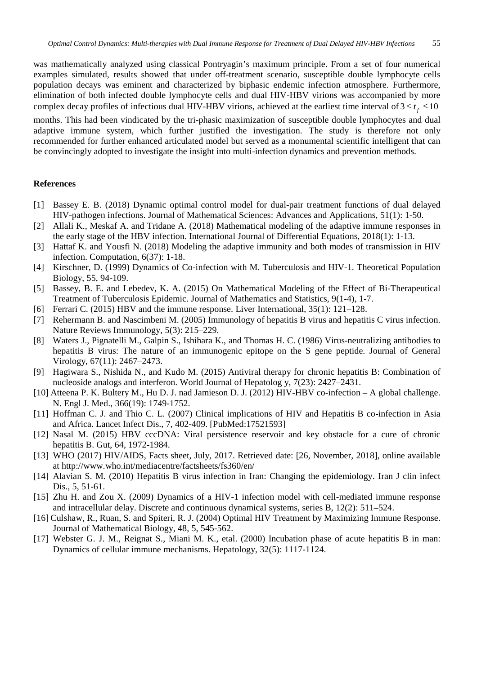was mathematically analyzed using classical Pontryagin's maximum principle. From a set of four numerical examples simulated, results showed that under off-treatment scenario, susceptible double lymphocyte cells population decays was eminent and characterized by biphasic endemic infection atmosphere. Furthermore, elimination of both infected double lymphocyte cells and dual HIV-HBV virions was accompanied by more complex decay profiles of infectious dual HIV-HBV virions, achieved at the earliest time interval of  $3 \le t_{\epsilon} \le 10$ 

months. This had been vindicated by the tri-phasic maximization of susceptible double lymphocytes and dual adaptive immune system, which further justified the investigation. The study is therefore not only recommended for further enhanced articulated model but served as a monumental scientific intelligent that can be convincingly adopted to investigate the insight into multi-infection dynamics and prevention methods.

#### **References**

- [1] Bassey E. B. (2018) Dynamic optimal control model for dual-pair treatment functions of dual delayed HIV-pathogen infections. Journal of Mathematical Sciences: Advances and Applications, 51(1): 1-50.
- [2] Allali K., Meskaf A. and Tridane A. (2018) Mathematical modeling of the adaptive immune responses in the early stage of the HBV infection. International Journal of Differential Equations, 2018(1): 1-13.
- [3] Hattaf K. and Yousfi N. (2018) Modeling the adaptive immunity and both modes of transmission in HIV infection. Computation, 6(37): 1-18.
- [4] Kirschner, D. (1999) Dynamics of Co-infection with M. Tuberculosis and HIV-1. Theoretical Population Biology, 55, 94-109.
- [5] Bassey, B. E. and Lebedev, K. A. (2015) On Mathematical Modeling of the Effect of Bi-Therapeutical Treatment of Tuberculosis Epidemic. Journal of Mathematics and Statistics, 9(1-4), 1-7.
- [6] Ferrari C. (2015) HBV and the immune response. Liver International, 35(1): 121–128.
- [7] Rehermann B. and Nascimbeni M. (2005) Immunology of hepatitis B virus and hepatitis C virus infection. Nature Reviews Immunology, 5(3): 215–229.
- [8] Waters J., Pignatelli M., Galpin S., Ishihara K., and Thomas H. C. (1986) Virus-neutralizing antibodies to hepatitis B virus: The nature of an immunogenic epitope on the S gene peptide. Journal of General Virology, 67(11): 2467–2473.
- [9] Hagiwara S., Nishida N., and Kudo M. (2015) Antiviral therapy for chronic hepatitis B: Combination of nucleoside analogs and interferon. World Journal of Hepatolog y, 7(23): 2427–2431.
- [10] Atteena P. K. Bultery M., Hu D. J. nad Jamieson D. J. (2012) HIV-HBV co-infection A global challenge. N. Engl J. Med., 366(19): 1749-1752.
- [11] Hoffman C. J. and Thio C. L. (2007) Clinical implications of HIV and Hepatitis B co-infection in Asia and Africa. Lancet Infect Dis., 7, 402-409. [PubMed:17521593]
- [12] Nasal M. (2015) HBV cccDNA: Viral persistence reservoir and key obstacle for a cure of chronic hepatitis B. Gut, 64, 1972-1984.
- [13] WHO (2017) HIV/AIDS, Facts sheet, July, 2017. Retrieved date: [26, November, 2018], online available at http://www.who.int/mediacentre/factsheets/fs360/en/
- [14] Alavian S. M. (2010) Hepatitis B virus infection in Iran: Changing the epidemiology. Iran J clin infect Dis., 5, 51-61.
- [15] Zhu H. and Zou X. (2009) Dynamics of a HIV-1 infection model with cell-mediated immune response and intracellular delay. Discrete and continuous dynamical systems, series B, 12(2): 511–524.
- [16] Culshaw, R., Ruan, S. and Spiteri, R. J. (2004) Optimal HIV Treatment by Maximizing Immune Response. Journal of Mathematical Biology, 48, 5, 545-562.
- [17] Webster G. J. M., Reignat S., Miani M. K., etal. (2000) Incubation phase of acute hepatitis B in man: Dynamics of cellular immune mechanisms. Hepatology, 32(5): 1117-1124.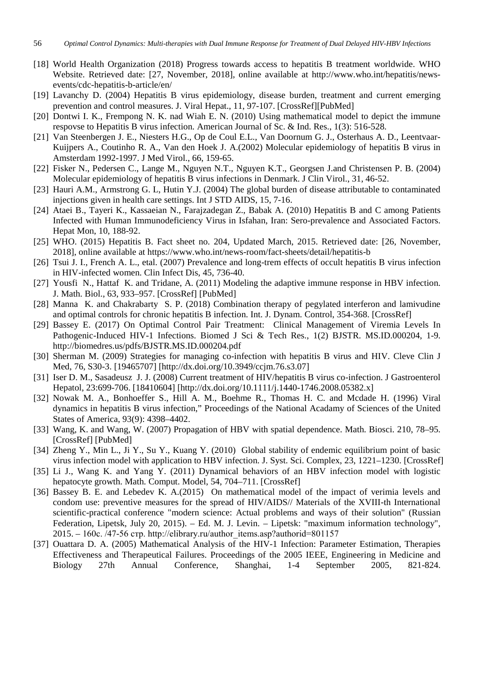- [18] World Health Organization (2018) Progress towards access to hepatitis B treatment worldwide. WHO Website. Retrieved date: [27, November, 2018], online available at http://www.who.int/hepatitis/newsevents/cdc-hepatitis-b-article/en/
- [19] Lavanchy D. (2004) Hepatitis B virus epidemiology, disease burden, treatment and current emerging prevention and control measures. J. Viral Hepat., 11, 97-107. [CrossRef][PubMed]
- [20] Dontwi I. K., Frempong N. K. nad Wiah E. N. (2010) Using mathematical model to depict the immune respovse to Hepatitis B virus infection. American Journal of Sc. & Ind. Res., 1(3): 516-528.
- [21] Van Steenbergen J. E., Niesters H.G., Op de Coul E.L., Van Doornum G. J., Osterhaus A. D., Leentvaar-Kuijpers A., Coutinho R. A., Van den Hoek J. A.(2002) Molecular epidemiology of hepatitis B virus in Amsterdam 1992-1997. J Med Virol., 66, 159-65.
- [22] Fisker N., Pedersen C., Lange M., Nguyen N.T., Nguyen K.T., Georgsen J.and Christensen P. B. (2004) Molecular epidemiology of hepatitis B virus infections in Denmark. J Clin Virol., 31, 46-52.
- [23] Hauri A.M., Armstrong G. L, Hutin Y.J. (2004) The global burden of disease attributable to contaminated injections given in health care settings. Int J STD AIDS, 15, 7-16.
- [24] Ataei B., Tayeri K., Kassaeian N., Farajzadegan Z., Babak A. (2010) Hepatitis B and C among Patients Infected with Human Immunodeficiency Virus in Isfahan, Iran: Sero-prevalence and Associated Factors. Hepat Mon, 10, 188-92.
- [25] WHO. (2015) Hepatitis B. Fact sheet no. 204, Updated March, 2015. Retrieved date: [26, November, 2018], online available at https://www.who.int/news-room/fact-sheets/detail/hepatitis-b
- [26] Tsui J. I., French A. L., etal. (2007) Prevalence and long-trem effects of occult hepatitis B virus infection in HIV-infected women. Clin Infect Dis, 45, 736-40.
- [27] Yousfi N., Hattaf K. and Tridane, A. (2011) Modeling the adaptive immune response in HBV infection. J. Math. Biol., 63, 933–957. [CrossRef] [PubMed]
- [28] Manna K. and Chakrabarty S. P. (2018) Combination therapy of pegylated interferon and lamivudine and optimal controls for chronic hepatitis B infection. Int. J. Dynam. Control, 354-368. [CrossRef]
- [29] Bassey E. (2017) On Optimal Control Pair Treatment: Clinical Management of Viremia Levels In Pathogenic-Induced HIV-1 Infections. Biomed J Sci & Tech Res., 1(2) BJSTR. MS.ID.000204, 1-9. http://biomedres.us/pdfs/BJSTR.MS.ID.000204.pdf
- [30] Sherman M. (2009) Strategies for managing co-infection with hepatitis B virus and HIV. Cleve Clin J Med, 76, S30-3. [19465707] [http://dx.doi.org/10.3949/ccjm.76.s3.07]
- [31] Iser D. M., Sasadeusz J. J. (2008) Current treatment of HIV/hepatitis B virus co-infection. J Gastroenterol Hepatol, 23:699-706. [18410604] [http://dx.doi.org/10.1111/j.1440-1746.2008.05382.x]
- [32] Nowak M. A., Bonhoeffer S., Hill A. M., Boehme R., Thomas H. C. and Mcdade H. (1996) Viral dynamics in hepatitis B virus infection," Proceedings of the National Acadamy of Sciences of the United States of America, 93(9): 4398–4402.
- [33] Wang, K. and Wang, W. (2007) Propagation of HBV with spatial dependence. Math. Biosci. 210, 78–95. [CrossRef] [PubMed]
- [34] Zheng Y., Min L., Ji Y., Su Y., Kuang Y. (2010) Global stability of endemic equilibrium point of basic virus infection model with application to HBV infection. J. Syst. Sci. Complex, 23, 1221–1230. [CrossRef]
- [35] Li J., Wang K. and Yang Y. (2011) Dynamical behaviors of an HBV infection model with logistic hepatocyte growth. Math. Comput. Model, 54, 704–711. [CrossRef]
- [36] Bassey B. E. and Lebedev K. A.(2015) On mathematical model of the impact of verimia levels and condom use: preventive measures for the spread of HIV/AIDS// Materials of the XVIII-th International scientific-practical conference "modern science: Actual problems and ways of their solution" (Russian Federation, Lipetsk, July 20, 2015). – Ed. M. J. Levin. – Lipetsk: "maximum information technology", 2015. – 160с. /47-56 стр. http://elibrary.ru/author\_items.asp?authorid=801157
- [37] Ouattara D. A. (2005) Mathematical Analysis of the HIV-1 Infection: Parameter Estimation, Therapies Effectiveness and Therapeutical Failures. Proceedings of the 2005 IEEE, Engineering in Medicine and Biology 27th Annual Conference, Shanghai, 1-4 September 2005, 821-824.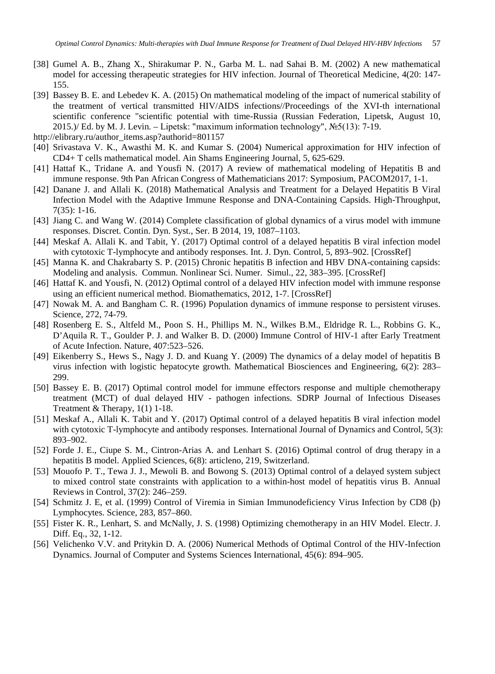- [38] Gumel A. B., Zhang X., Shirakumar P. N., Garba M. L. nad Sahai B. M. (2002) A new mathematical model for accessing therapeutic strategies for HIV infection. Journal of Theoretical Medicine, 4(20: 147- 155.
- [39] Bassey B. E. and Lebedev K. A. (2015) On mathematical modeling of the impact of numerical stability of the treatment of vertical transmitted HIV/AIDS infections//Proceedings of the XVI-th international scientific conference "scientific potential with time-Russia (Russian Federation, Lipetsk, August 10, 2015.)/ Ed. by M. J. Levin. – Lipetsk: "maximum information technology",  $N\leq 5(13)$ : 7-19.
- http://elibrary.ru/author\_items.asp?authorid=801157
- [40] Srivastava V. K., Awasthi M. K. and Kumar S. (2004) Numerical approximation for HIV infection of CD4+ T cells mathematical model. Ain Shams Engineering Journal, 5, 625-629.
- [41] Hattaf K., Tridane A. and Yousfi N. (2017) A review of mathematical modeling of Hepatitis B and immune response. 9th Pan African Congress of Mathematicians 2017: Symposium, PACOM2017, 1-1.
- [42] Danane J. and Allali K. (2018) Mathematical Analysis and Treatment for a Delayed Hepatitis B Viral Infection Model with the Adaptive Immune Response and DNA-Containing Capsids. High-Throughput, 7(35): 1-16.
- [43] Jiang C. and Wang W. (2014) Complete classification of global dynamics of a virus model with immune responses. Discret. Contin. Dyn. Syst., Ser. B 2014, 19, 1087–1103.
- [44] Meskaf A. Allali K. and Tabit, Y. (2017) Optimal control of a delayed hepatitis B viral infection model with cytotoxic T-lymphocyte and antibody responses. Int. J. Dyn. Control, 5, 893–902. [CrossRef]
- [45] Manna K. and Chakrabarty S. P. (2015) Chronic hepatitis B infection and HBV DNA-containing capsids: Modeling and analysis. Commun. Nonlinear Sci. Numer. Simul., 22, 383–395. [CrossRef]
- [46] Hattaf K. and Yousfi, N. (2012) Optimal control of a delayed HIV infection model with immune response using an efficient numerical method. Biomathematics, 2012, 1-7. [CrossRef]
- [47] Nowak M. A. and Bangham C. R. (1996) Population dynamics of immune response to persistent viruses. Science, 272, 74-79.
- [48] Rosenberg E. S., Altfeld M., Poon S. H., Phillips M. N., Wilkes B.M., Eldridge R. L., Robbins G. K., D'Aquila R. T., Goulder P. J. and Walker B. D. (2000) Immune Control of HIV-1 after Early Treatment of Acute Infection. Nature, 407:523–526.
- [49] Eikenberry S., Hews S., Nagy J. D. and Kuang Y. (2009) The dynamics of a delay model of hepatitis B virus infection with logistic hepatocyte growth. Mathematical Biosciences and Engineering, 6(2): 283– 299.
- [50] Bassey E. B. (2017) Optimal control model for immune effectors response and multiple chemotherapy treatment (MCT) of dual delayed HIV - pathogen infections. SDRP Journal of Infectious Diseases Treatment & Therapy, 1(1) 1-18.
- [51] Meskaf A., Allali K. Tabit and Y. (2017) Optimal control of a delayed hepatitis B viral infection model with cytotoxic T-lymphocyte and antibody responses. International Journal of Dynamics and Control, 5(3): 893–902.
- [52] Forde J. E., Ciupe S. M., Cintron-Arias A. and Lenhart S. (2016) Optimal control of drug therapy in a hepatitis B model. Applied Sciences, 6(8): articleno, 219, Switzerland.
- [53] Mouofo P. T., Tewa J. J., Mewoli B. and Bowong S. (2013) Optimal control of a delayed system subject to mixed control state constraints with application to a within-host model of hepatitis virus B. Annual Reviews in Control, 37(2): 246–259.
- [54] Schmitz J. E, et al. (1999) Control of Viremia in Simian Immunodeficiency Virus Infection by CD8 (þ) Lymphocytes. Science, 283, 857–860.
- [55] Fister K. R., Lenhart, S. and McNally, J. S. (1998) Optimizing chemotherapy in an HIV Model. Electr. J. Diff. Eq., 32, 1-12.
- [56] Velichenko V.V. and Pritykin D. A. (2006) Numerical Methods of Optimal Control of the HIV-Infection Dynamics. Journal of Computer and Systems Sciences International, 45(6): 894–905.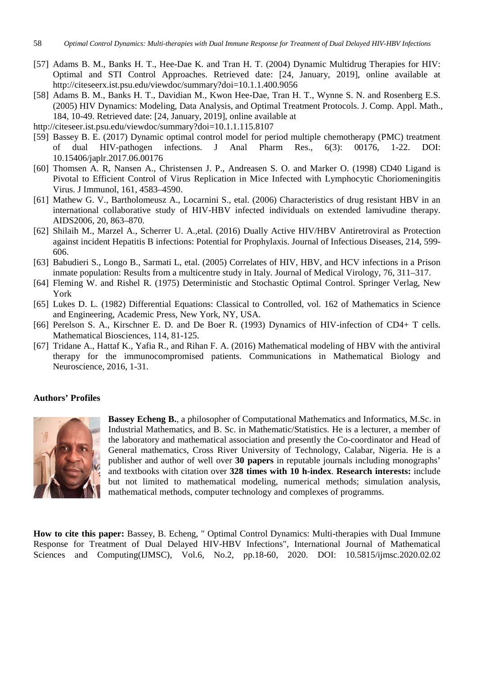- [57] Adams B. M., Banks H. T., Hee-Dae K. and Tran H. T. (2004) Dynamic Multidrug Therapies for HIV: Optimal and STI Control Approaches. Retrieved date: [24, January, 2019], online available at http://citeseerx.ist.psu.edu/viewdoc/summary?doi=10.1.1.400.9056
- [58] Adams B. M., Banks H. T., Davidian M., Kwon Hee-Dae, Tran H. T., Wynne S. N. and Rosenberg E.S. (2005) HIV Dynamics: Modeling, Data Analysis, and Optimal Treatment Protocols. J. Comp. Appl. Math., 184, 10-49. Retrieved date: [24, January, 2019], online available at
- http://citeseer.ist.psu.edu/viewdoc/summary?doi=10.1.1.115.8107
- [59] Bassey B. E. (2017) Dynamic optimal control model for period multiple chemotherapy (PMC) treatment of dual HIV-pathogen infections. J Anal Pharm Res., 6(3): 00176, 1-22. DOI: 10.15406/japlr.2017.06.00176
- [60] Thomsen A. R, Nansen A., Christensen J. P., Andreasen S. O. and Marker O. (1998) CD40 Ligand is Pivotal to Efficient Control of Virus Replication in Mice Infected with Lymphocytic Choriomeningitis Virus. J Immunol, 161, 4583–4590.
- [61] Mathew G. V., Bartholomeusz A., Locarnini S., etal. (2006) Characteristics of drug resistant HBV in an international collaborative study of HIV-HBV infected individuals on extended lamivudine therapy. AIDS2006, 20, 863–870.
- [62] Shilaih M., Marzel A., Scherrer U. A.,etal. (2016) Dually Active HIV/HBV Antiretroviral as Protection against incident Hepatitis B infections: Potential for Prophylaxis. Journal of Infectious Diseases, 214, 599- 606.
- [63] Babudieri S., Longo B., Sarmati L, etal. (2005) Correlates of HIV, HBV, and HCV infections in a Prison inmate population: Results from a multicentre study in Italy. Journal of Medical Virology, 76, 311–317.
- [64] Fleming W. and Rishel R. (1975) Deterministic and Stochastic Optimal Control. Springer Verlag, New York
- [65] Lukes D. L. (1982) Differential Equations: Classical to Controlled, vol. 162 of Mathematics in Science and Engineering, Academic Press, New York, NY, USA.
- [66] Perelson S. A., Kirschner E. D. and De Boer R. (1993) Dynamics of HIV-infection of CD4+ T cells. Mathematical Biosciences, 114, 81-125.
- [67] Tridane A., Hattaf K., Yafia R., and Rihan F. A. (2016) Mathematical modeling of HBV with the antiviral therapy for the immunocompromised patients. Communications in Mathematical Biology and Neuroscience, 2016, 1-31.

### **Authors' Profiles**



**Bassey Echeng B.**, a philosopher of Computational Mathematics and Informatics, M.Sc. in Industrial Mathematics, and B. Sc. in Mathematic/Statistics. He is a lecturer, a member of the laboratory and mathematical association and presently the Co-coordinator and Head of General mathematics, Cross River University of Technology, Calabar, Nigeria. He is a publisher and author of well over **30 papers** in reputable journals including monographs' and textbooks with citation over **328 times with 10 h-index**. **Research interests:** include but not limited to mathematical modeling, numerical methods; simulation analysis, mathematical methods, computer technology and complexes of programms.

**How to cite this paper:** Bassey, B. Echeng, " Optimal Control Dynamics: Multi-therapies with Dual Immune Response for Treatment of Dual Delayed HIV-HBV Infections", International Journal of Mathematical Sciences and Computing(IJMSC), Vol.6, No.2, pp.18-60, 2020. DOI: 10.5815/ijmsc.2020.02.02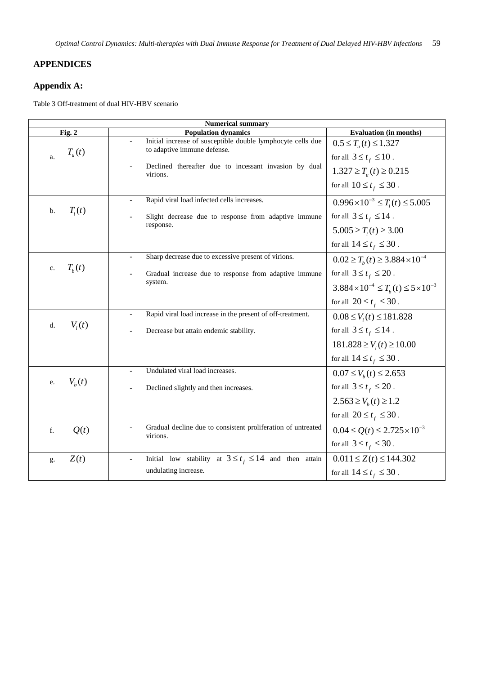# **APPENDICES**

# **Appendix A:**

Table 3 Off-treatment of dual HIV-HBV scenario

| <b>Numerical summary</b> |                                                                                            |                                                              |  |  |  |
|--------------------------|--------------------------------------------------------------------------------------------|--------------------------------------------------------------|--|--|--|
| Fig. 2                   | <b>Population dynamics</b>                                                                 | <b>Evaluation</b> (in months)                                |  |  |  |
| $T_{\mu}(t)$<br>a.       | Initial increase of susceptible double lymphocyte cells due<br>to adaptive immune defense. | $0.5 \le T_u(t) \le 1.327$                                   |  |  |  |
|                          | Declined thereafter due to incessant invasion by dual<br>virions.                          | for all $3 \le t_f \le 10$ .<br>$1.327 \ge T_u(t) \ge 0.215$ |  |  |  |
|                          |                                                                                            | for all $10 \le t_f \le 30$ .                                |  |  |  |
| $T_i(t)$<br>b.           | Rapid viral load infected cells increases.                                                 | $0.996 \times 10^{-3} \le T_i(t) \le 5.005$                  |  |  |  |
|                          | Slight decrease due to response from adaptive immune<br>response.                          | for all $3 \le t_f \le 14$ .                                 |  |  |  |
|                          |                                                                                            | $5.005 \ge T_i(t) \ge 3.00$                                  |  |  |  |
|                          |                                                                                            | for all $14 \le t_f \le 30$ .                                |  |  |  |
|                          | Sharp decrease due to excessive present of virions.<br>L.                                  | $0.02 \ge T_h(t) \ge 3.884 \times 10^{-4}$                   |  |  |  |
| $T_b(t)$<br>c.           | Gradual increase due to response from adaptive immune                                      | for all $3 \le t_f \le 20$ .                                 |  |  |  |
|                          | system.                                                                                    | $3.884 \times 10^{-4} \le T_h(t) \le 5 \times 10^{-3}$       |  |  |  |
|                          |                                                                                            | for all $20 \le t_f \le 30$ .                                |  |  |  |
|                          | Rapid viral load increase in the present of off-treatment.<br>L.                           | $0.08 \le V_i(t) \le 181.828$                                |  |  |  |
| $V_i(t)$<br>d.           | Decrease but attain endemic stability.                                                     | for all $3 \le t_f \le 14$ .                                 |  |  |  |
|                          |                                                                                            | $181.828 \ge V_i(t) \ge 10.00$                               |  |  |  |
|                          |                                                                                            | for all $14 \le t_f \le 30$ .                                |  |  |  |
|                          | Undulated viral load increases.<br>÷,                                                      | $0.07 \le V_h(t) \le 2.653$                                  |  |  |  |
| $V_h(t)$<br>e.           | Declined slightly and then increases.                                                      | for all $3 \le t_f \le 20$ .                                 |  |  |  |
|                          |                                                                                            | $2.563 \ge V_h(t) \ge 1.2$                                   |  |  |  |
|                          |                                                                                            | for all $20 \le t_f \le 30$ .                                |  |  |  |
| f.<br>Q(t)               | Gradual decline due to consistent proliferation of untreated<br>virions.                   | $0.04 \le Q(t) \le 2.725 \times 10^{-3}$                     |  |  |  |
|                          |                                                                                            | for all $3 \le t_f \le 30$ .                                 |  |  |  |
| Z(t)<br>g.               | Initial low stability at $3 \le t_f \le 14$ and then attain                                | $0.011 \le Z(t) \le 144.302$                                 |  |  |  |
|                          | undulating increase.                                                                       | for all $14 \le t_f \le 30$ .                                |  |  |  |